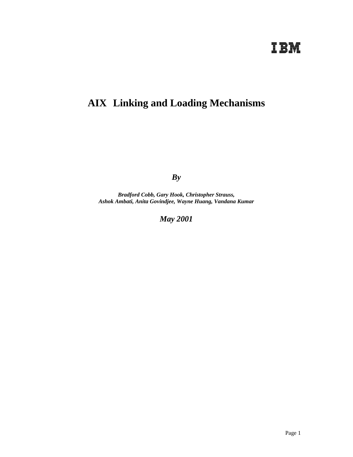# **IBM**

## **AIX Linking and Loading Mechanisms**

*By*

*Bradford Cobb, Gary Hook, Christopher Strauss, Ashok Ambati, Anita Govindjee, Wayne Huang, Vandana Kumar*

*May 2001*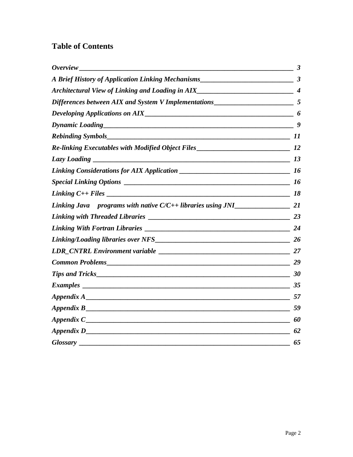## **Table of Contents**

| $\frac{1}{2}$ 3                        |
|----------------------------------------|
|                                        |
|                                        |
|                                        |
|                                        |
|                                        |
|                                        |
|                                        |
| Lazy Loading $\qquad \qquad$ 13        |
|                                        |
| Special Linking Options $\frac{1}{16}$ |
|                                        |
|                                        |
|                                        |
|                                        |
|                                        |
|                                        |
|                                        |
|                                        |
|                                        |
|                                        |
|                                        |
|                                        |
| 62                                     |
|                                        |
|                                        |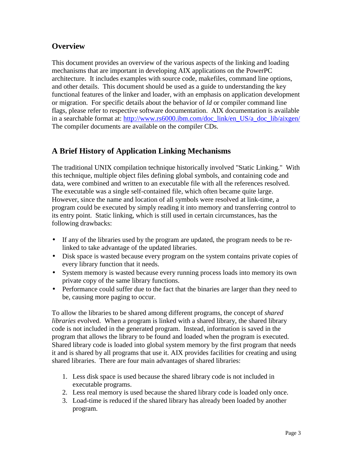## **Overview**

This document provides an overview of the various aspects of the linking and loading mechanisms that are important in developing AIX applications on the PowerPC architecture. It includes examples with source code, makefiles, command line options, and other details. This document should be used as a guide to understanding the key functional features of the linker and loader, with an emphasis on application development or migration. For specific details about the behavior of *ld* or compiler command line flags, please refer to respective software documentation. AIX documentation is available in a searchable format at: http://www.rs6000.ibm.com/doc\_link/en\_US/a\_doc\_lib/aixgen/ The compiler documents are available on the compiler CDs.

## **A Brief History of Application Linking Mechanisms**

The traditional UNIX compilation technique historically involved "Static Linking." With this technique, multiple object files defining global symbols, and containing code and data, were combined and written to an executable file with all the references resolved. The executable was a single self-contained file, which often became quite large. However, since the name and location of all symbols were resolved at link-time, a program could be executed by simply reading it into memory and transferring control to its entry point. Static linking, which is still used in certain circumstances, has the following drawbacks:

- If any of the libraries used by the program are updated, the program needs to be relinked to take advantage of the updated libraries.
- Disk space is wasted because every program on the system contains private copies of every library function that it needs.
- System memory is wasted because every running process loads into memory its own private copy of the same library functions.
- Performance could suffer due to the fact that the binaries are larger than they need to be, causing more paging to occur.

To allow the libraries to be shared among different programs, the concept of *shared libraries* evolved. When a program is linked with a shared library, the shared library code is not included in the generated program. Instead, information is saved in the program that allows the library to be found and loaded when the program is executed. Shared library code is loaded into global system memory by the first program that needs it and is shared by all programs that use it. AIX provides facilities for creating and using shared libraries. There are four main advantages of shared libraries:

- 1. Less disk space is used because the shared library code is not included in executable programs.
- 2. Less real memory is used because the shared library code is loaded only once.
- 3. Load-time is reduced if the shared library has already been loaded by another program.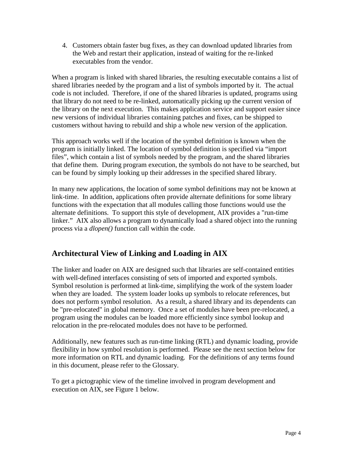4. Customers obtain faster bug fixes, as they can download updated libraries from the Web and restart their application, instead of waiting for the re-linked executables from the vendor.

When a program is linked with shared libraries, the resulting executable contains a list of shared libraries needed by the program and a list of symbols imported by it. The actual code is not included. Therefore, if one of the shared libraries is updated, programs using that library do not need to be re-linked, automatically picking up the current version of the library on the next execution. This makes application service and support easier since new versions of individual libraries containing patches and fixes, can be shipped to customers without having to rebuild and ship a whole new version of the application.

This approach works well if the location of the symbol definition is known when the program is initially linked. The location of symbol definition is specified via "import files", which contain a list of symbols needed by the program, and the shared libraries that define them. During program execution, the symbols do not have to be searched, but can be found by simply looking up their addresses in the specified shared library.

In many new applications, the location of some symbol definitions may not be known at link-time. In addition, applications often provide alternate definitions for some library functions with the expectation that all modules calling those functions would use the alternate definitions. To support this style of development, AIX provides a "run-time linker." AIX also allows a program to dynamically load a shared object into the running process via a *dlopen()* function call within the code.

## **Architectural View of Linking and Loading in AIX**

The linker and loader on AIX are designed such that libraries are self-contained entities with well-defined interfaces consisting of sets of imported and exported symbols. Symbol resolution is performed at link-time, simplifying the work of the system loader when they are loaded. The system loader looks up symbols to relocate references, but does not perform symbol resolution. As a result, a shared library and its dependents can be "pre-relocated" in global memory. Once a set of modules have been pre-relocated, a program using the modules can be loaded more efficiently since symbol lookup and relocation in the pre-relocated modules does not have to be performed.

Additionally, new features such as run-time linking (RTL) and dynamic loading, provide flexibility in how symbol resolution is performed. Please see the next section below for more information on RTL and dynamic loading. For the definitions of any terms found in this document, please refer to the Glossary.

To get a pictographic view of the timeline involved in program development and execution on AIX, see Figure 1 below.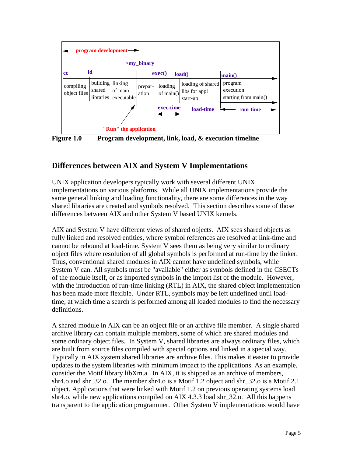

**Figure 1.0 Program development, link, load, & execution timeline**

## **Differences between AIX and System V Implementations**

UNIX application developers typically work with several different UNIX implementations on various platforms. While all UNIX implementations provide the same general linking and loading functionality, there are some differences in the way shared libraries are created and symbols resolved. This section describes some of those differences between AIX and other System V based UNIX kernels.

AIX and System V have different views of shared objects. AIX sees shared objects as fully linked and resolved entities, where symbol references are resolved at link-time and cannot be rebound at load-time. System V sees them as being very similar to ordinary object files where resolution of all global symbols is performed at run-time by the linker. Thus, conventional shared modules in AIX cannot have undefined symbols, while System V can. All symbols must be "available" either as symbols defined in the CSECTs of the module itself, or as imported symbols in the import list of the module. However, with the introduction of run-time linking (RTL) in AIX, the shared object implementation has been made more flexible. Under RTL, symbols may be left undefined until loadtime, at which time a search is performed among all loaded modules to find the necessary definitions.

A shared module in AIX can be an object file or an archive file member. A single shared archive library can contain multiple members, some of which are shared modules and some ordinary object files. In System V, shared libraries are always ordinary files, which are built from source files compiled with special options and linked in a special way. Typically in AIX system shared libraries are archive files. This makes it easier to provide updates to the system libraries with minimum impact to the applications. As an example, consider the Motif library libXm.a. In AIX, it is shipped as an archive of members, shr4.o and shr 32.o. The member shr4.o is a Motif 1.2 object and shr 32.o is a Motif 2.1 object. Applications that were linked with Motif 1.2 on previous operating systems load shr4.o, while new applications compiled on AIX 4.3.3 load shr\_32.o. All this happens transparent to the application programmer. Other System V implementations would have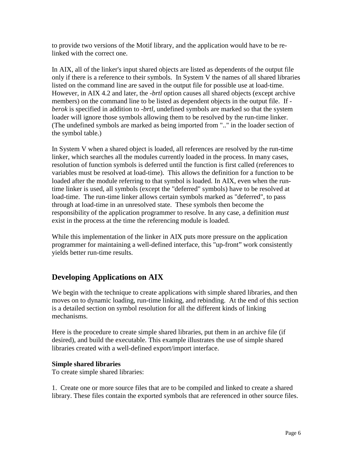to provide two versions of the Motif library, and the application would have to be relinked with the correct one.

In AIX, all of the linker's input shared objects are listed as dependents of the output file only if there is a reference to their symbols. In System V the names of all shared libraries listed on the command line are saved in the output file for possible use at load-time. However, in AIX 4.2 and later, the *-brtl* option causes all shared objects (except archive members) on the command line to be listed as dependent objects in the output file. If  *berok* is specified in addition to *-brtl*, undefined symbols are marked so that the system loader will ignore those symbols allowing them to be resolved by the run-time linker. (The undefined symbols are marked as being imported from ".." in the loader section of the symbol table.)

In System V when a shared object is loaded, all references are resolved by the run-time linker, which searches all the modules currently loaded in the process. In many cases, resolution of function symbols is deferred until the function is first called (references to variables must be resolved at load-time). This allows the definition for a function to be loaded after the module referring to that symbol is loaded. In AIX, even when the runtime linker is used, all symbols (except the "deferred" symbols) have to be resolved at load-time. The run-time linker allows certain symbols marked as "deferred", to pass through at load-time in an unresolved state. These symbols then become the responsibility of the application programmer to resolve. In any case, a definition *must* exist in the process at the time the referencing module is loaded.

While this implementation of the linker in AIX puts more pressure on the application programmer for maintaining a well-defined interface, this "up-front" work consistently yields better run-time results.

## **Developing Applications on AIX**

We begin with the technique to create applications with simple shared libraries, and then moves on to dynamic loading, run-time linking, and rebinding. At the end of this section is a detailed section on symbol resolution for all the different kinds of linking mechanisms.

Here is the procedure to create simple shared libraries, put them in an archive file (if desired), and build the executable. This example illustrates the use of simple shared libraries created with a well-defined export/import interface.

## **Simple shared libraries**

To create simple shared libraries:

1. Create one or more source files that are to be compiled and linked to create a shared library. These files contain the exported symbols that are referenced in other source files.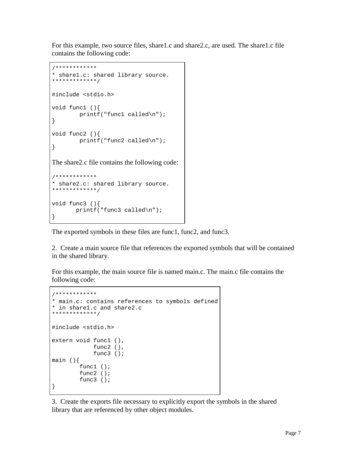For this example, two source files, share1.c and share2.c, are used. The share1.c file contains the following code:

```
/************
* share1.c: shared library source.
*************/
#include <stdio.h>
void func1 (){
         printf("func1 called\n");
}
void func2 (){
         printf("func2 called\n");
}
The share2.c file contains the following code:
/************
* share2.c: shared library source.
*************/
void func3 (){
        printf("func3 called\n");
}
```
The exported symbols in these files are func1, func2, and func3.

2. Create a main source file that references the exported symbols that will be contained in the shared library.

For this example, the main source file is named main.c. The main.c file contains the following code:

```
/************
* main.c: contains references to symbols defined
* in share1.c and share2.c
*************/
#include <stdio.h>
extern void func1 (),
             func2 (),
             func3 ();
main (){
         func1 ();
         func2 ();
         func3 ();
}
```
3. Create the exports file necessary to explicitly export the symbols in the shared library that are referenced by other object modules.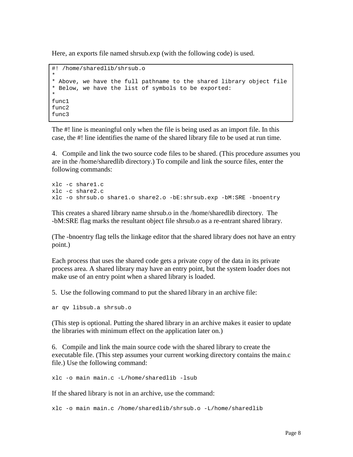Here, an exports file named shrsub.exp (with the following code) is used.

```
#! /home/sharedlib/shrsub.o
*
* Above, we have the full pathname to the shared library object file
* Below, we have the list of symbols to be exported:
*
func1
func2
func3
```
The #! line is meaningful only when the file is being used as an import file. In this case, the #! line identifies the name of the shared library file to be used at run time.

4. Compile and link the two source code files to be shared. (This procedure assumes you are in the /home/sharedlib directory.) To compile and link the source files, enter the following commands:

```
xlc -c share1.c
xlc -c share2.c
xlc -o shrsub.o share1.o share2.o -bE:shrsub.exp -bM:SRE -bnoentry
```
This creates a shared library name shrsub.o in the /home/sharedlib directory. The -bM:SRE flag marks the resultant object file shrsub.o as a re-entrant shared library.

(The -bnoentry flag tells the linkage editor that the shared library does not have an entry point.)

Each process that uses the shared code gets a private copy of the data in its private process area. A shared library may have an entry point, but the system loader does not make use of an entry point when a shared library is loaded.

5. Use the following command to put the shared library in an archive file:

```
ar qv libsub.a shrsub.o
```
(This step is optional. Putting the shared library in an archive makes it easier to update the libraries with minimum effect on the application later on.)

6. Compile and link the main source code with the shared library to create the executable file. (This step assumes your current working directory contains the main.c file.) Use the following command:

```
xlc -o main main.c -L/home/sharedlib -lsub
```
If the shared library is not in an archive, use the command:

xlc -o main main.c /home/sharedlib/shrsub.o -L/home/sharedlib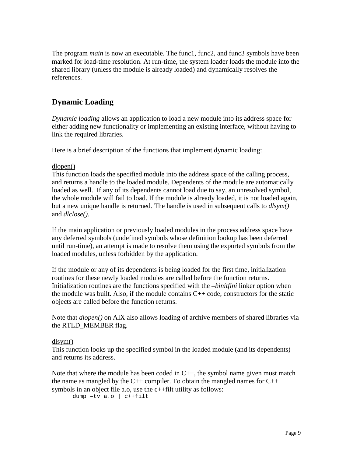The program *main* is now an executable. The func1, func2, and func3 symbols have been marked for load-time resolution. At run-time, the system loader loads the module into the shared library (unless the module is already loaded) and dynamically resolves the references.

## **Dynamic Loading**

*Dynamic loading* allows an application to load a new module into its address space for either adding new functionality or implementing an existing interface, without having to link the required libraries.

Here is a brief description of the functions that implement dynamic loading:

#### dlopen()

This function loads the specified module into the address space of the calling process, and returns a handle to the loaded module. Dependents of the module are automatically loaded as well. If any of its dependents cannot load due to say, an unresolved symbol, the whole module will fail to load. If the module is already loaded, it is not loaded again, but a new unique handle is returned. The handle is used in subsequent calls to *dlsym()* and *dlclose().*

If the main application or previously loaded modules in the process address space have any deferred symbols (undefined symbols whose definition lookup has been deferred until run-time), an attempt is made to resolve them using the exported symbols from the loaded modules, unless forbidden by the application.

If the module or any of its dependents is being loaded for the first time, initialization routines for these newly loaded modules are called before the function returns. Initialization routines are the functions specified with the *–binitfini* linker option when the module was built. Also, if the module contains  $C++$  code, constructors for the static objects are called before the function returns.

Note that *dlopen()* on AIX also allows loading of archive members of shared libraries via the RTLD\_MEMBER flag.

## dlsym()

This function looks up the specified symbol in the loaded module (and its dependents) and returns its address.

Note that where the module has been coded in  $C_{++}$ , the symbol name given must match the name as mangled by the  $C_{++}$  compiler. To obtain the mangled names for  $C_{++}$ symbols in an object file a.o, use the c++filt utility as follows:

dump –tv a.o | c++filt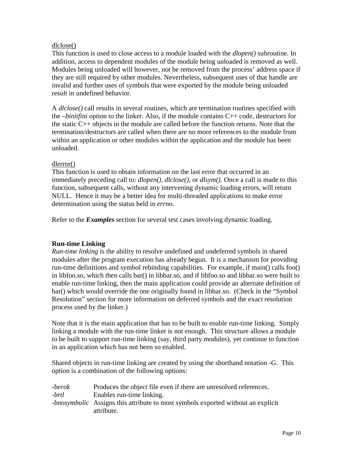#### dlclose()

This function is used to close access to a module loaded with the *dlopen()* subroutine. In addition, access to dependent modules of the module being unloaded is removed as well. Modules being unloaded will however, not be removed from the process' address space if they are still required by other modules. Nevertheless, subsequent uses of that handle are invalid and further uses of symbols that were exported by the module being unloaded result in undefined behavior.

A *dlclose()* call results in several routines, which are termination routines specified with the *–binitfini* option to the linker. Also, if the module contains C++ code, destructors for the static C++ objects in the module are called before the function returns. Note that the termination/destructors are called when there are no more references to the module from within an application or other modules within the application and the module has been unloaded.

#### dlerror()

This function is used to obtain information on the last error that occurred in an immediately preceding call to: *dlopen(), dlclose(),* or *dlsym()*. Once a call is made to this function, subsequent calls, without any intervening dynamic loading errors, will return NULL. Hence it may be a better idea for multi-threaded applications to make error determination using the status held in *errno.*

Refer to the *Examples* section for several test cases involving dynamic loading.

## **Run-time Linking**

*Run-time linking* is the ability to resolve undefined and undeferred symbols in shared modules after the program execution has already begun. It is a mechanism for providing run-time definitions and symbol rebinding capabilities. For example, if main() calls foo() in libfoo.so, which then calls bar() in libbar.so, and if libfoo.so and libbar.so were built to enable run-time linking, then the main application could provide an alternate definition of bar() which would override the one originally found in libbar.so. (Check in the "Symbol Resolution" section for more information on deferred symbols and the exact resolution process used by the linker.)

Note that it is the main application that has to be built to enable run-time linking. Simply linking a module with the run-time linker is not enough. This structure allows a module to be built to support run-time linking (say, third party modules), yet continue to function in an application which has not been so enabled.

Shared objects in run-time linking are created by using the shorthand notation -G. This option is a combination of the following options:

| -berok | Produces the object file even if there are unresolved references.                       |
|--------|-----------------------------------------------------------------------------------------|
| -brtl  | Enables run-time linking.                                                               |
|        | <i>-bnosymbolic</i> Assigns this attribute to most symbols exported without an explicit |
|        | attribute.                                                                              |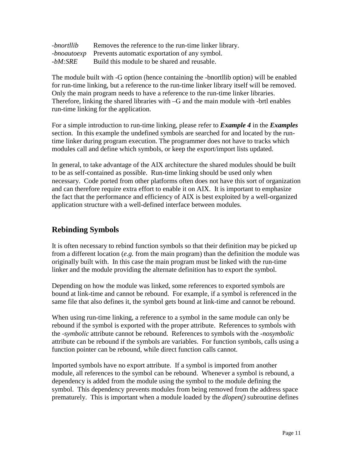| -bnortllib | Removes the reference to the run-time linker library.            |
|------------|------------------------------------------------------------------|
|            | <i>-bnoautoexp</i> Prevents automatic exportation of any symbol. |
| -bM:SRE    | Build this module to be shared and reusable.                     |

The module built with -G option (hence containing the -bnortllib option) will be enabled for run-time linking, but a reference to the run-time linker library itself will be removed. Only the main program needs to have a reference to the run-time linker libraries. Therefore, linking the shared libraries with –G and the main module with -brtl enables run-time linking for the application.

For a simple introduction to run-time linking, please refer to *Example 4* in the *Examples* section. In this example the undefined symbols are searched for and located by the runtime linker during program execution. The programmer does not have to tracks which modules call and define which symbols, or keep the export/import lists updated.

In general, to take advantage of the AIX architecture the shared modules should be built to be as self-contained as possible. Run-time linking should be used only when necessary. Code ported from other platforms often does not have this sort of organization and can therefore require extra effort to enable it on AIX. It is important to emphasize the fact that the performance and efficiency of AIX is best exploited by a well-organized application structure with a well-defined interface between modules.

## **Rebinding Symbols**

It is often necessary to rebind function symbols so that their definition may be picked up from a different location (*e.g.* from the main program) than the definition the module was originally built with. In this case the main program must be linked with the run-time linker and the module providing the alternate definition has to export the symbol.

Depending on how the module was linked, some references to exported symbols are bound at link-time and cannot be rebound. For example, if a symbol is referenced in the same file that also defines it, the symbol gets bound at link-time and cannot be rebound.

When using run-time linking, a reference to a symbol in the same module can only be rebound if the symbol is exported with the proper attribute. References to symbols with the *-symbolic* attribute cannot be rebound. References to symbols with the *-nosymbolic* attribute can be rebound if the symbols are variables. For function symbols, calls using a function pointer can be rebound, while direct function calls cannot.

Imported symbols have no export attribute. If a symbol is imported from another module, all references to the symbol can be rebound. Whenever a symbol is rebound, a dependency is added from the module using the symbol to the module defining the symbol. This dependency prevents modules from being removed from the address space prematurely. This is important when a module loaded by the *dlopen()* subroutine defines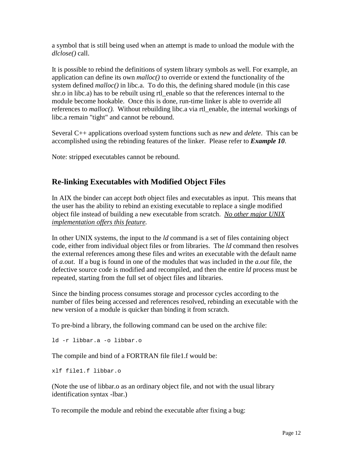a symbol that is still being used when an attempt is made to unload the module with the *dlclose()* call.

It is possible to rebind the definitions of system library symbols as well. For example, an application can define its own *malloc()* to override or extend the functionality of the system defined *malloc()* in libc.a. To do this, the defining shared module (in this case shr.o in libc.a) has to be rebuilt using rtl\_enable so that the references internal to the module become hookable. Once this is done, run-time linker is able to override all references to *malloc().* Without rebuilding libc.a via rtl\_enable, the internal workings of libc.a remain "tight" and cannot be rebound.

Several C++ applications overload system functions such as *new* and *delete*. This can be accomplished using the rebinding features of the linker. Please refer to *Example 10*.

Note: stripped executables cannot be rebound.

## **Re-linking Executables with Modified Object Files**

In AIX the binder can accept *both* object files and executables as input. This means that the user has the ability to rebind an existing executable to replace a single modified object file instead of building a new executable from scratch. *No other major UNIX implementation offers this feature.*

In other UNIX systems, the input to the *ld* command is a set of files containing object code, either from individual object files or from libraries. The *ld* command then resolves the external references among these files and writes an executable with the default name of *a.out*. If a bug is found in one of the modules that was included in the *a.out* file, the defective source code is modified and recompiled, and then the entire *ld* process must be repeated, starting from the full set of object files and libraries.

Since the binding process consumes storage and processor cycles according to the number of files being accessed and references resolved, rebinding an executable with the new version of a module is quicker than binding it from scratch.

To pre-bind a library, the following command can be used on the archive file:

ld -r libbar.a -o libbar.o

The compile and bind of a FORTRAN file file1.f would be:

xlf file1.f libbar.o

(Note the use of libbar.o as an ordinary object file, and not with the usual library identification syntax -lbar.)

To recompile the module and rebind the executable after fixing a bug: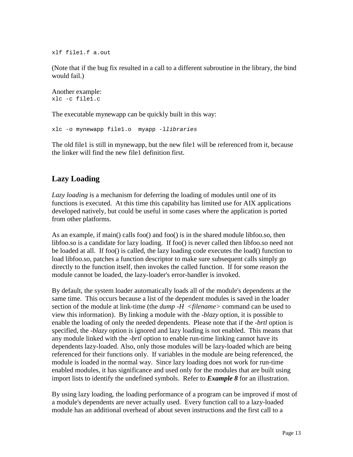xlf file1.f a.out

(Note that if the bug fix resulted in a call to a different subroutine in the library, the bind would fail.)

```
Another example:
xlc -c file1.c
```
The executable mynewapp can be quickly built in this way:

xlc -o mynewapp file1.o myapp -llibraries

The old file1 is still in mynewapp, but the new file1 will be referenced from it, because the linker will find the new file1 definition first.

## **Lazy Loading**

*Lazy loading* is a mechanism for deferring the loading of modules until one of its functions is executed. At this time this capability has limited use for AIX applications developed natively, but could be useful in some cases where the application is ported from other platforms.

As an example, if main() calls foo() and foo() is in the shared module libfoo.so, then libfoo.so is a candidate for lazy loading. If foo() is never called then libfoo.so need not be loaded at all. If foo() is called, the lazy loading code executes the load() function to load libfoo.so, patches a function descriptor to make sure subsequent calls simply go directly to the function itself, then invokes the called function. If for some reason the module cannot be loaded, the lazy-loader's error-handler is invoked.

By default, the system loader automatically loads all of the module's dependents at the same time. This occurs because a list of the dependent modules is saved in the loader section of the module at link-time (the *dump -H <filename>* command can be used to view this information). By linking a module with the *-blazy* option, it is possible to enable the loading of only the needed dependents. Please note that if the *-brtl* option is specified, the *-blazy* option is ignored and lazy loading is not enabled. This means that any module linked with the *-brtl* option to enable run-time linking cannot have its dependents lazy-loaded. Also, only those modules will be lazy-loaded which are being referenced for their functions only. If variables in the module are being referenced, the module is loaded in the normal way. Since lazy loading does not work for run-time enabled modules, it has significance and used only for the modules that are built using import lists to identify the undefined symbols. Refer to *Example 8* for an illustration.

By using lazy loading, the loading performance of a program can be improved if most of a module's dependents are never actually used. Every function call to a lazy-loaded module has an additional overhead of about seven instructions and the first call to a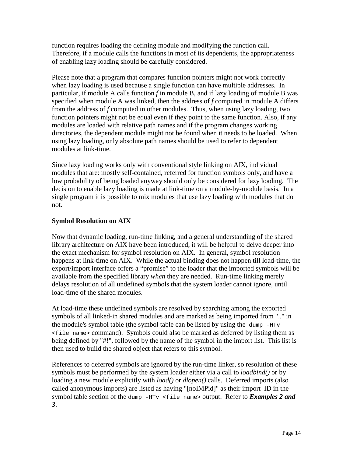function requires loading the defining module and modifying the function call. Therefore, if a module calls the functions in most of its dependents, the appropriateness of enabling lazy loading should be carefully considered.

Please note that a program that compares function pointers might not work correctly when lazy loading is used because a single function can have multiple addresses. In particular, if module A calls function *f* in module B, and if lazy loading of module B was specified when module A was linked, then the address of *f* computed in module A differs from the address of *f* computed in other modules. Thus, when using lazy loading, two function pointers might not be equal even if they point to the same function. Also, if any modules are loaded with relative path names and if the program changes working directories, the dependent module might not be found when it needs to be loaded. When using lazy loading, only absolute path names should be used to refer to dependent modules at link-time.

Since lazy loading works only with conventional style linking on AIX, individual modules that are: mostly self-contained, referred for function symbols only, and have a low probability of being loaded anyway should only be considered for lazy loading. The decision to enable lazy loading is made at link-time on a module-by-module basis. In a single program it is possible to mix modules that use lazy loading with modules that do not.

## **Symbol Resolution on AIX**

Now that dynamic loading, run-time linking, and a general understanding of the shared library architecture on AIX have been introduced, it will be helpful to delve deeper into the exact mechanism for symbol resolution on AIX. In general, symbol resolution happens at link-time on AIX. While the actual binding does not happen till load-time, the export/import interface offers a "promise" to the loader that the imported symbols will be available from the specified library *when* they are needed. Run-time linking merely delays resolution of all undefined symbols that the system loader cannot ignore, until load-time of the shared modules.

At load-time these undefined symbols are resolved by searching among the exported symbols of all linked-in shared modules and are marked as being imported from ".." in the module's symbol table (the symbol table can be listed by using the dump -HTv <file name> command). Symbols could also be marked as deferred by listing them as being defined by "#!", followed by the name of the symbol in the import list. This list is then used to build the shared object that refers to this symbol.

References to deferred symbols are ignored by the run-time linker, so resolution of these symbols must be performed by the system loader either via a call to *loadbind()* or by loading a new module explicitly with *load()* or *dlopen()* calls. Deferred imports (also called anonymous imports) are listed as having "[noIMPid]" as their import ID in the symbol table section of the dump -HTv <file name> output. Refer to *Examples 2 and 3*.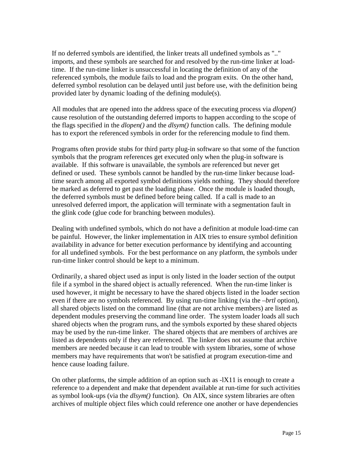If no deferred symbols are identified, the linker treats all undefined symbols as ".." imports, and these symbols are searched for and resolved by the run-time linker at loadtime. If the run-time linker is unsuccessful in locating the definition of any of the referenced symbols, the module fails to load and the program exits. On the other hand, deferred symbol resolution can be delayed until just before use, with the definition being provided later by dynamic loading of the defining module(s).

All modules that are opened into the address space of the executing process via *dlopen()* cause resolution of the outstanding deferred imports to happen according to the scope of the flags specified in the *dlopen()* and the *dlsym()* function calls. The defining module has to export the referenced symbols in order for the referencing module to find them.

Programs often provide stubs for third party plug-in software so that some of the function symbols that the program references get executed only when the plug-in software is available. If this software is unavailable, the symbols are referenced but never get defined or used. These symbols cannot be handled by the run-time linker because loadtime search among all exported symbol definitions yields nothing. They should therefore be marked as deferred to get past the loading phase. Once the module is loaded though, the deferred symbols must be defined before being called. If a call is made to an unresolved deferred import, the application will terminate with a segmentation fault in the glink code (glue code for branching between modules).

Dealing with undefined symbols, which do not have a definition at module load-time can be painful. However, the linker implementation in AIX tries to ensure symbol definition availability in advance for better execution performance by identifying and accounting for all undefined symbols. For the best performance on any platform, the symbols under run-time linker control should be kept to a minimum.

Ordinarily, a shared object used as input is only listed in the loader section of the output file if a symbol in the shared object is actually referenced. When the run-time linker is used however, it might be necessary to have the shared objects listed in the loader section even if there are no symbols referenced. By using run-time linking (via the *–brtl* option), all shared objects listed on the command line (that are not archive members) are listed as dependent modules preserving the command line order. The system loader loads all such shared objects when the program runs, and the symbols exported by these shared objects may be used by the run-time linker. The shared objects that are members of archives are listed as dependents only if they are referenced. The linker does not assume that archive members are needed because it can lead to trouble with system libraries, some of whose members may have requirements that won't be satisfied at program execution-time and hence cause loading failure.

On other platforms, the simple addition of an option such as -lX11 is enough to create a reference to a dependent and make that dependent available at run-time for such activities as symbol look-ups (via the *dlsym()* function). On AIX, since system libraries are often archives of multiple object files which could reference one another or have dependencies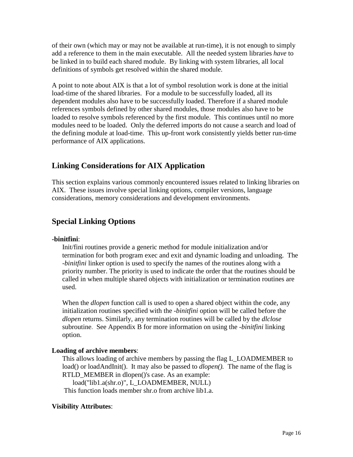of their own (which may or may not be available at run-time), it is not enough to simply add a reference to them in the main executable. All the needed system libraries *have* to be linked in to build each shared module. By linking with system libraries, all local definitions of symbols get resolved within the shared module.

A point to note about AIX is that a lot of symbol resolution work is done at the initial load-time of the shared libraries. For a module to be successfully loaded, all its dependent modules also have to be successfully loaded. Therefore if a shared module references symbols defined by other shared modules, those modules also have to be loaded to resolve symbols referenced by the first module. This continues until no more modules need to be loaded. Only the deferred imports do not cause a search and load of the defining module at load-time. This up-front work consistently yields better run-time performance of AIX applications.

## **Linking Considerations for AIX Application**

This section explains various commonly encountered issues related to linking libraries on AIX. These issues involve special linking options, compiler versions, language considerations, memory considerations and development environments.

## **Special Linking Options**

## **-binitfini**:

Init/fini routines provide a generic method for module initialization and/or termination for both program exec and exit and dynamic loading and unloading. The *-binitfini* linker option is used to specify the names of the routines along with a priority number. The priority is used to indicate the order that the routines should be called in when multiple shared objects with initialization or termination routines are used.

When the *dlopen* function call is used to open a shared object within the code, any initialization routines specified with the *-binitfini* option will be called before the *dlopen* returns. Similarly, any termination routines will be called by the *dlclose* subroutine. See Appendix B for more information on using the *-binitfini* linking option.

## **Loading of archive members**:

This allows loading of archive members by passing the flag L\_LOADMEMBER to load() or loadAndInit(). It may also be passed to *dlopen().* The name of the flag is RTLD MEMBER in dlopen()'s case. As an example: load("lib1.a(shr.o)", L\_LOADMEMBER, NULL)

This function loads member shr.o from archive lib1.a.

## **Visibility Attributes**: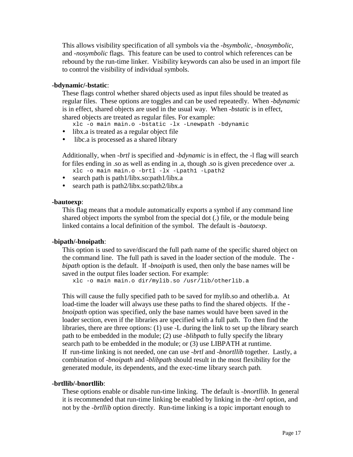This allows visibility specification of all symbols via the *-bsymbolic, -bnosymbolic,* and *-nosymbolic* flags. This feature can be used to control which references can be rebound by the run-time linker. Visibility keywords can also be used in an import file to control the visibility of individual symbols.

#### **-bdynamic/-bstatic**:

These flags control whether shared objects used as input files should be treated as regular files. These options are toggles and can be used repeatedly. When *-bdynamic* is in effect, shared objects are used in the usual way. When *-bstatic* is in effect, shared objects are treated as regular files. For example:

- xlc -o main main.o -bstatic -lx -Lnewpath -bdynamic
- libx.a is treated as a regular object file
- libc.a is processed as a shared library

Additionally, when *-brtl* is specified and *-bdynamic* is in effect, the -l flag will search for files ending in .so as well as ending in .a, though .so is given precedence over .a.

- xlc -o main main.o -brtl -lx -Lpath1 -Lpath2
- search path is path1/libx.so:path1/libx.a
- search path is path 2/libx.so:path 2/libx.a

#### **-bautoexp**:

This flag means that a module automatically exports a symbol if any command line shared object imports the symbol from the special dot (.) file, or the module being linked contains a local definition of the symbol. The default is *-bautoexp*.

#### **-bipath/-bnoipath**:

This option is used to save/discard the full path name of the specific shared object on the command line. The full path is saved in the loader section of the module. The  *bipath* option is the default. If *-bnoipath* is used, then only the base names will be saved in the output files loader section. For example:

xlc -o main main.o dir/mylib.so /usr/lib/otherlib.a

This will cause the fully specified path to be saved for mylib.so and otherlib.a. At load-time the loader will always use these paths to find the shared objects. If the  *bnoipath* option was specified, only the base names would have been saved in the loader section, even if the libraries are specified with a full path. To then find the libraries, there are three options: (1) use -L during the link to set up the library search path to be embedded in the module; (2) use *-blibpath* to fully specify the library search path to be embedded in the module; or (3) use LIBPATH at runtime. If run-time linking is not needed, one can use *-brtl* and *-bnortllib* together. Lastly, a combination of *-bnoipath* and *-blibpath* should result in the most flexibility for the generated module, its dependents, and the exec-time library search path.

#### **-brtllib/-bnortllib**:

These options enable or disable run-time linking. The default is *-bnortllib*. In general it is recommended that run-time linking be enabled by linking in the *-brtl* option, and not by the *-brtllib* option directly. Run-time linking is a topic important enough to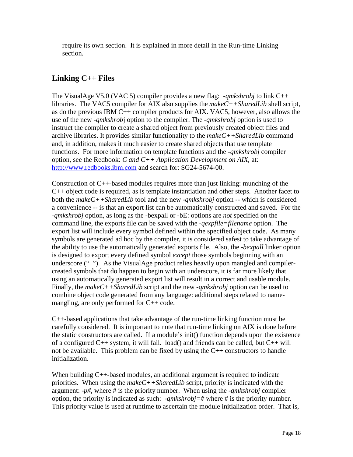require its own section. It is explained in more detail in the Run-time Linking section.

## **Linking C++ Files**

The VisualAge V5.0 (VAC 5) compiler provides a new flag: *-qmkshrobj* to link C++ libraries. The VAC5 compiler for AIX also supplies the *makeC++SharedLib* shell script, as do the previous IBM C++ compiler products for AIX. VAC5, however, also allows the use of the new *-qmkshrob*j option to the compiler. The *-qmkshrobj* option is used to instruct the compiler to create a shared object from previously created object files and archive libraries. It provides similar functionality to the *makeC++SharedLib* command and, in addition, makes it much easier to create shared objects that use template functions. For more information on template functions and the *-qmkshrobj* compiler option, see the Redbook: *C and C++ Application Development on AIX*, at: http://www.redbooks.ibm.com and search for: SG24-5674-00.

Construction of  $C_{++}$ -based modules requires more than just linking: munching of the C++ object code is required, as is template instantiation and other steps. Another facet to both the *makeC++SharedLib* tool and the new *-qmkshrobj* option -- which is considered a convenience -- is that an export list can be automatically constructed and saved. For the *-qmkshrobj* option, as long as the -bexpall or -bE: options are *not* specified on the command line, the exports file can be saved with the *-qexpfile=filename* option. The export list will include every symbol defined within the specified object code. As many symbols are generated ad hoc by the compiler, it is considered safest to take advantage of the ability to use the automatically generated exports file. Also, the *-bexpall* linker option is designed to export every defined symbol *except* those symbols beginning with an underscore ("\_"). As the VisualAge product relies heavily upon mangled and compilercreated symbols that do happen to begin with an underscore, it is far more likely that using an automatically generated export list will result in a correct and usable module. Finally, the *makeC++SharedLib* script and the new *-qmkshrobj* option can be used to combine object code generated from any language: additional steps related to namemangling, are only performed for C++ code.

C++-based applications that take advantage of the run-time linking function must be carefully considered. It is important to note that run-time linking on AIX is done before the static constructors are called. If a module's init() function depends upon the existence of a configured C++ system, it will fail. load() and friends can be called, but C++ will not be available. This problem can be fixed by using the C++ constructors to handle initialization.

When building C<sup>++</sup>-based modules, an additional argument is required to indicate priorities. When using the *makeC++SharedLib* script, priority is indicated with the argument: *-p#,* where # is the priority number. When using the *-qmkshrobj* compiler option, the priority is indicated as such: *-qmkshrobj=#* where # is the priority number. This priority value is used at runtime to ascertain the module initialization order. That is,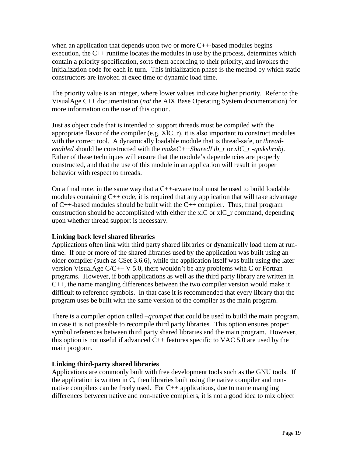when an application that depends upon two or more  $C_{++}$ -based modules begins execution, the  $C_{++}$  runtime locates the modules in use by the process, determines which contain a priority specification, sorts them according to their priority, and invokes the initialization code for each in turn. This initialization phase is the method by which static constructors are invoked at exec time or dynamic load time.

The priority value is an integer, where lower values indicate higher priority. Refer to the VisualAge C++ documentation (*not* the AIX Base Operating System documentation) for more information on the use of this option.

Just as object code that is intended to support threads must be compiled with the appropriate flavor of the compiler (e.g.  $XIC_r$ ), it is also important to construct modules with the correct tool. A dynamically loadable module that is thread-safe, or *threadenabled* should be constructed with the *makeC++SharedLib\_r* or *xlC\_r -qmkshrobj*. Either of these techniques will ensure that the module's dependencies are properly constructed, and that the use of this module in an application will result in proper behavior with respect to threads.

On a final note, in the same way that a C++-aware tool must be used to build loadable modules containing  $C_{++}$  code, it is required that any application that will take advantage of  $C_{++}$ -based modules should be built with the  $C_{++}$  compiler. Thus, final program construction should be accomplished with either the xlC or xlC\_r command, depending upon whether thread support is necessary.

## **Linking back level shared libraries**

Applications often link with third party shared libraries or dynamically load them at runtime. If one or more of the shared libraries used by the application was built using an older compiler (such as CSet 3.6.6), while the application itself was built using the later version VisualAge  $C/C++V$  5.0, there wouldn't be any problems with C or Fortran programs. However, if both applications as well as the third party library are written in C++, the name mangling differences between the two compiler version would make it difficult to reference symbols. In that case it is recommended that every library that the program uses be built with the same version of the compiler as the main program.

There is a compiler option called *–qcompat* that could be used to build the main program, in case it is not possible to recompile third party libraries. This option ensures proper symbol references between third party shared libraries and the main program. However, this option is not useful if advanced  $C_{++}$  features specific to VAC 5.0 are used by the main program.

## **Linking third-party shared libraries**

Applications are commonly built with free development tools such as the GNU tools. If the application is written in C, then libraries built using the native compiler and nonnative compilers can be freely used. For  $C_{++}$  applications, due to name mangling differences between native and non-native compilers, it is not a good idea to mix object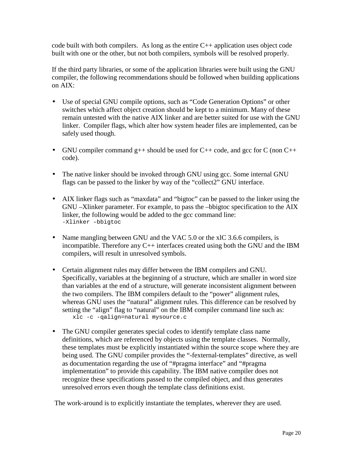code built with both compilers. As long as the entire  $C_{++}$  application uses object code built with one or the other, but not both compilers, symbols will be resolved properly.

If the third party libraries, or some of the application libraries were built using the GNU compiler, the following recommendations should be followed when building applications on AIX:

- Use of special GNU compile options, such as "Code Generation Options" or other switches which affect object creation should be kept to a minimum. Many of these remain untested with the native AIX linker and are better suited for use with the GNU linker. Compiler flags, which alter how system header files are implemented, can be safely used though.
- GNU compiler command  $g++$  should be used for C++ code, and gcc for C (non C++ code).
- The native linker should be invoked through GNU using gcc. Some internal GNU flags can be passed to the linker by way of the "collect2" GNU interface.
- AIX linker flags such as "maxdata" and "bigtoc" can be passed to the linker using the GNU –Xlinker parameter. For example, to pass the –bbigtoc specification to the AIX linker, the following would be added to the gcc command line: -Xlinker –bbigtoc
- Name mangling between GNU and the VAC 5.0 or the xlC 3.6.6 compilers, is incompatible. Therefore any  $C_{++}$  interfaces created using both the GNU and the IBM compilers, will result in unresolved symbols.
- Certain alignment rules may differ between the IBM compilers and GNU. Specifically, variables at the beginning of a structure, which are smaller in word size than variables at the end of a structure, will generate inconsistent alignment between the two compilers. The IBM compilers default to the "power" alignment rules, whereas GNU uses the "natural" alignment rules. This difference can be resolved by setting the "align" flag to "natural" on the IBM compiler command line such as: xlc -c -qalign=natural mysource.c
- The GNU compiler generates special codes to identify template class name definitions, which are referenced by objects using the template classes. Normally, these templates must be explicitly instantiated within the source scope where they are being used. The GNU compiler provides the "-fexternal-templates" directive, as well as documentation regarding the use of "#pragma interface" and "#pragma implementation" to provide this capability. The IBM native compiler does not recognize these specifications passed to the compiled object, and thus generates unresolved errors even though the template class definitions exist.

The work-around is to explicitly instantiate the templates, wherever they are used.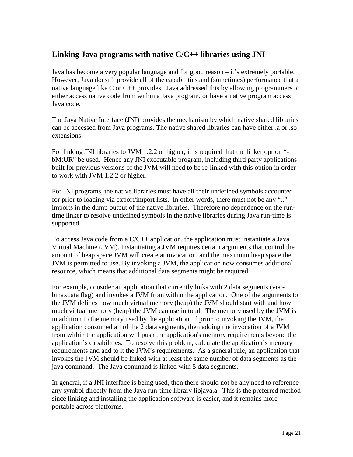## **Linking Java programs with native C/C++ libraries using JNI**

Java has become a very popular language and for good reason – it's extremely portable. However, Java doesn't provide all of the capabilities and (sometimes) performance that a native language like C or C++ provides. Java addressed this by allowing programmers to either access native code from within a Java program, or have a native program access Java code.

The Java Native Interface (JNI) provides the mechanism by which native shared libraries can be accessed from Java programs. The native shared libraries can have either .a or .so extensions.

For linking JNI libraries to JVM 1.2.2 or higher, it is required that the linker option " bM:UR" be used. Hence any JNI executable program, including third party applications built for previous versions of the JVM will need to be re-linked with this option in order to work with JVM 1.2.2 or higher.

For JNI programs, the native libraries must have all their undefined symbols accounted for prior to loading via export/import lists. In other words, there must not be any ".." imports in the dump output of the native libraries. Therefore no dependence on the runtime linker to resolve undefined symbols in the native libraries during Java run-time is supported.

To access Java code from a  $C/C++$  application, the application must instantiate a Java Virtual Machine (JVM). Instantiating a JVM requires certain arguments that control the amount of heap space JVM will create at invocation, and the maximum heap space the JVM is permitted to use. By invoking a JVM, the application now consumes additional resource, which means that additional data segments might be required.

For example, consider an application that currently links with 2 data segments (via bmaxdata flag) and invokes a JVM from within the application. One of the arguments to the JVM defines how much virtual memory (heap) the JVM should start with and how much virtual memory (heap) the JVM can use in total. The memory used by the JVM is in addition to the memory used by the application. If prior to invoking the JVM, the application consumed all of the 2 data segments, then adding the invocation of a JVM from within the application will push the application's memory requirements beyond the application's capabilities. To resolve this problem, calculate the application's memory requirements and add to it the JVM's requirements. As a general rule, an application that invokes the JVM should be linked with at least the same number of data segments as the java command. The Java command is linked with 5 data segments.

In general, if a JNI interface is being used, then there should not be any need to reference any symbol directly from the Java run-time library libjava.a. This is the preferred method since linking and installing the application software is easier, and it remains more portable across platforms.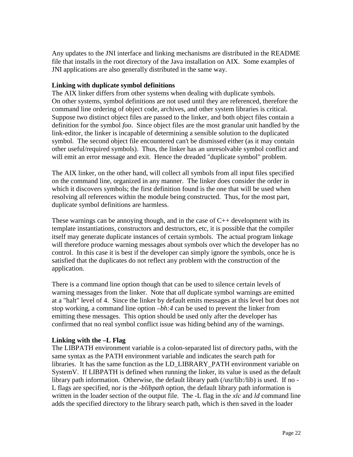Any updates to the JNI interface and linking mechanisms are distributed in the README file that installs in the root directory of the Java installation on AIX. Some examples of JNI applications are also generally distributed in the same way.

#### **Linking with duplicate symbol definitions**

The AIX linker differs from other systems when dealing with duplicate symbols. On other systems, symbol definitions are not used until they are referenced, therefore the command line ordering of object code, archives, and other system libraries is critical. Suppose two distinct object files are passed to the linker, and both object files contain a definition for the symbol *foo*. Since object files are the most granular unit handled by the link-editor, the linker is incapable of determining a sensible solution to the duplicated symbol. The second object file encountered can't be dismissed either (as it may contain other useful/required symbols). Thus, the linker has an unresolvable symbol conflict and will emit an error message and exit. Hence the dreaded "duplicate symbol" problem.

The AIX linker, on the other hand, will collect all symbols from all input files specified on the command line, organized in any manner. The linker does consider the order in which it discovers symbols; the first definition found is the one that will be used when resolving all references within the module being constructed. Thus, for the most part, duplicate symbol definitions are harmless.

These warnings can be annoying though, and in the case of  $C_{++}$  development with its template instantiations, constructors and destructors, etc, it is possible that the compiler itself may generate duplicate instances of certain symbols. The actual program linkage will therefore produce warning messages about symbols over which the developer has no control. In this case it is best if the developer can simply ignore the symbols, once he is satisfied that the duplicates do not reflect any problem with the construction of the application.

There is a command line option though that can be used to silence certain levels of warning messages from the linker. Note that *all* duplicate symbol warnings are emitted at a "halt" level of 4. Since the linker by default emits messages at this level but does not stop working, a command line option *–bh:4* can be used to prevent the linker from emitting these messages. This option should be used only after the developer has confirmed that no real symbol conflict issue was hiding behind any of the warnings.

#### **Linking with the –L Flag**

The LIBPATH environment variable is a colon-separated list of directory paths, with the same syntax as the PATH environment variable and indicates the search path for libraries. It has the same function as the LD\_LIBRARY\_PATH environment variable on SystemV. If LIBPATH is defined when running the linker, its value is used as the default library path information. Otherwise, the default library path (/usr/lib:/lib) is used. If no -L flags are specified, nor is the *-blibpath* option, the default library path information is written in the loader section of the output file. The -L flag in the *xlc* and *ld* command line adds the specified directory to the library search path, which is then saved in the loader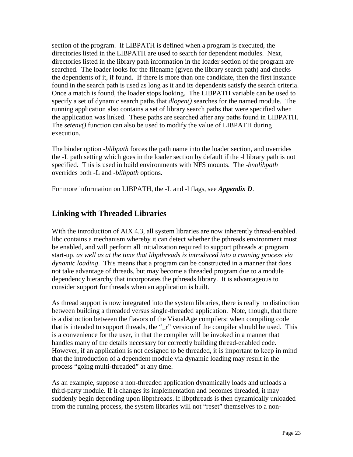section of the program. If LIBPATH is defined when a program is executed, the directories listed in the LIBPATH are used to search for dependent modules. Next, directories listed in the library path information in the loader section of the program are searched. The loader looks for the filename (given the library search path) and checks the dependents of it, if found. If there is more than one candidate, then the first instance found in the search path is used as long as it and its dependents satisfy the search criteria. Once a match is found, the loader stops looking. The LIBPATH variable can be used to specify a set of dynamic search paths that *dlopen()* searches for the named module. The running application also contains a set of library search paths that were specified when the application was linked. These paths are searched after any paths found in LIBPATH. The *setenv()* function can also be used to modify the value of LIBPATH during execution.

The binder option *-blibpath* forces the path name into the loader section, and overrides the -L path setting which goes in the loader section by default if the -l library path is not specified. This is used in build environments with NFS mounts. The *-bnolibpath* overrides both -L and *-blibpath* options.

For more information on LIBPATH, the -L and -l flags, see *Appendix D*.

## **Linking with Threaded Libraries**

With the introduction of AIX 4.3, all system libraries are now inherently thread-enabled. libc contains a mechanism whereby it can detect whether the pthreads environment must be enabled, and will perform all initialization required to support pthreads at program start-up, *as well as at the time that libpthreads is introduced into a running process via dynamic loading*. This means that a program can be constructed in a manner that does not take advantage of threads, but may become a threaded program due to a module dependency hierarchy that incorporates the pthreads library. It is advantageous to consider support for threads when an application is built.

As thread support is now integrated into the system libraries, there is really no distinction between building a threaded versus single-threaded application. Note, though, that there is a distinction between the flavors of the VisualAge compilers: when compiling code that is intended to support threads, the "\_r" version of the compiler should be used. This is a convenience for the user, in that the compiler will be invoked in a manner that handles many of the details necessary for correctly building thread-enabled code. However, if an application is not designed to be threaded, it is important to keep in mind that the introduction of a dependent module via dynamic loading may result in the process "going multi-threaded" at any time.

As an example, suppose a non-threaded application dynamically loads and unloads a third-party module. If it changes its implementation and becomes threaded, it may suddenly begin depending upon libpthreads. If libpthreads is then dynamically unloaded from the running process, the system libraries will not "reset" themselves to a non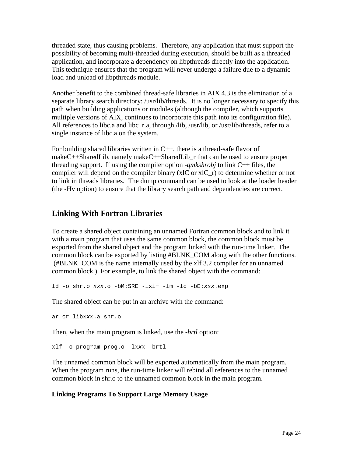threaded state, thus causing problems. Therefore, any application that must support the possibility of becoming multi-threaded during execution, should be built as a threaded application, and incorporate a dependency on libpthreads directly into the application. This technique ensures that the program will never undergo a failure due to a dynamic load and unload of libpthreads module.

Another benefit to the combined thread-safe libraries in AIX 4.3 is the elimination of a separate library search directory: /usr/lib/threads. It is no longer necessary to specify this path when building applications or modules (although the compiler, which supports multiple versions of AIX, continues to incorporate this path into its configuration file). All references to libc.a and libc\_r.a, through /lib, /usr/lib, or /usr/lib/threads, refer to a single instance of libc.a on the system.

For building shared libraries written in  $C_{++}$ , there is a thread-safe flavor of makeC $++$ SharedLib, namely makeC $++$ SharedLib r that can be used to ensure proper threading support. If using the compiler option *-qmkshrobj* to link C++ files, the compiler will depend on the compiler binary (xlC or  $x\text{IC }r$ ) to determine whether or not to link in threads libraries. The dump command can be used to look at the loader header (the -Hv option) to ensure that the library search path and dependencies are correct.

## **Linking With Fortran Libraries**

To create a shared object containing an unnamed Fortran common block and to link it with a main program that uses the same common block, the common block must be exported from the shared object and the program linked with the run-time linker. The common block can be exported by listing #BLNK\_COM along with the other functions. (#BLNK\_COM is the name internally used by the xlf 3.2 compiler for an unnamed common block.) For example, to link the shared object with the command:

ld -o shr.o xxx.o -bM:SRE -lxlf -lm -lc -bE:xxx.exp

The shared object can be put in an archive with the command:

```
ar cr libxxx.a shr.o
```
Then, when the main program is linked, use the *-brtl* option:

xlf -o program prog.o -lxxx -brtl

The unnamed common block will be exported automatically from the main program. When the program runs, the run-time linker will rebind all references to the unnamed common block in shr.o to the unnamed common block in the main program.

## **Linking Programs To Support Large Memory Usage**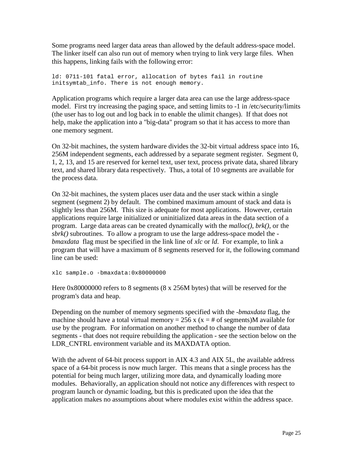Some programs need larger data areas than allowed by the default address-space model. The linker itself can also run out of memory when trying to link very large files. When this happens, linking fails with the following error:

ld: 0711-101 fatal error, allocation of bytes fail in routine initsymtab\_info. There is not enough memory.

Application programs which require a larger data area can use the large address-space model. First try increasing the paging space, and setting limits to -1 in /etc/security/limits (the user has to log out and log back in to enable the ulimit changes). If that does not help, make the application into a "big-data" program so that it has access to more than one memory segment.

On 32-bit machines, the system hardware divides the 32-bit virtual address space into 16, 256M independent segments, each addressed by a separate segment register. Segment 0, 1, 2, 13, and 15 are reserved for kernel text, user text, process private data, shared library text, and shared library data respectively. Thus, a total of 10 segments are available for the process data.

On 32-bit machines, the system places user data and the user stack within a single segment (segment 2) by default. The combined maximum amount of stack and data is slightly less than 256M. This size is adequate for most applications. However, certain applications require large initialized or uninitialized data areas in the data section of a program. Large data areas can be created dynamically with the *malloc()*, *brk()*, or the *sbrk()* subroutines. To allow a program to use the large address-space model the  *bmaxdata* flag must be specified in the link line of *xlc* or *ld*. For example, to link a program that will have a maximum of 8 segments reserved for it, the following command line can be used:

xlc sample.o -bmaxdata:0x80000000

Here 0x80000000 refers to 8 segments (8 x 256M bytes) that will be reserved for the program's data and heap.

Depending on the number of memory segments specified with the *-bmaxdata* flag, the machine should have a total virtual memory = 256 x ( $x = #$  of segments)M available for use by the program. For information on another method to change the number of data segments - that does not require rebuilding the application - see the section below on the LDR\_CNTRL environment variable and its MAXDATA option.

With the advent of 64-bit process support in AIX 4.3 and AIX 5L, the available address space of a 64-bit process is now much larger. This means that a single process has the potential for being much larger, utilizing more data, and dynamically loading more modules. Behaviorally, an application should not notice any differences with respect to program launch or dynamic loading, but this is predicated upon the idea that the application makes no assumptions about where modules exist within the address space.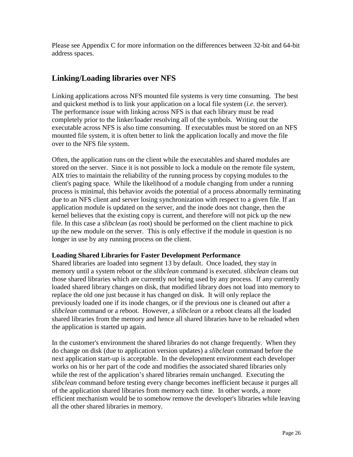Please see Appendix C for more information on the differences between 32-bit and 64-bit address spaces.

## **Linking/Loading libraries over NFS**

Linking applications across NFS mounted file systems is very time consuming. The best and quickest method is to link your application on a local file system (*i.e.* the server). The performance issue with linking across NFS is that each library must be read completely prior to the linker/loader resolving all of the symbols. Writing out the executable across NFS is also time consuming. If executables must be stored on an NFS mounted file system, it is often better to link the application locally and move the file over to the NFS file system.

Often, the application runs on the client while the executables and shared modules are stored on the server. Since it is not possible to lock a module on the remote file system, AIX tries to maintain the reliability of the running process by copying modules to the client's paging space. While the likelihood of a module changing from under a running process is minimal, this behavior avoids the potential of a process abnormally terminating due to an NFS client and server losing synchronization with respect to a given file. If an application module is updated on the server, and the inode does not change, then the kernel believes that the existing copy is current, and therefore will not pick up the new file. In this case a *slibclean* (as root) should be performed on the client machine to pick up the new module on the server. This is only effective if the module in question is no longer in use by any running process on the client.

## **Loading Shared Libraries for Faster Development Performance**

Shared libraries are loaded into segment 13 by default. Once loaded, they stay in memory until a system reboot or the *slibclean* command is executed. *slibclean* cleans out those shared libraries which are currently not being used by any process. If any currently loaded shared library changes on disk, that modified library does not load into memory to replace the old one just because it has changed on disk. It will only replace the previously loaded one if its inode changes, or if the previous one is cleaned out after a *slibclean* command or a reboot. However, a *slibclean* or a reboot cleans all the loaded shared libraries from the memory and hence all shared libraries have to be reloaded when the application is started up again.

In the customer's environment the shared libraries do not change frequently. When they do change on disk (due to application version updates) a *slibclean* command before the next application start-up is acceptable. In the development environment each developer works on his or her part of the code and modifies the associated shared libraries only while the rest of the application's shared libraries remain unchanged. Executing the *slibclean* command before testing every change becomes inefficient because it purges all of the application shared libraries from memory each time. In other words, a more efficient mechanism would be to somehow remove the developer's libraries while leaving all the other shared libraries in memory.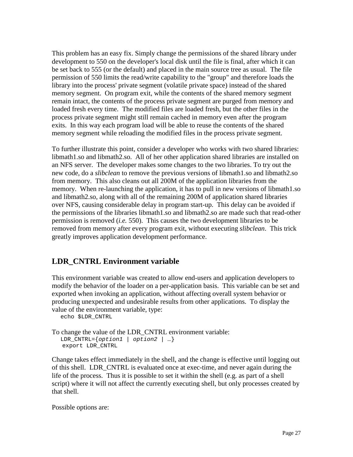This problem has an easy fix. Simply change the permissions of the shared library under development to 550 on the developer's local disk until the file is final, after which it can be set back to 555 (or the default) and placed in the main source tree as usual. The file permission of 550 limits the read/write capability to the "group" and therefore loads the library into the process' private segment (volatile private space) instead of the shared memory segment. On program exit, while the contents of the shared memory segment remain intact, the contents of the process private segment are purged from memory and loaded fresh every time. The modified files are loaded fresh, but the other files in the process private segment might still remain cached in memory even after the program exits. In this way each program load will be able to reuse the contents of the shared memory segment while reloading the modified files in the process private segment.

To further illustrate this point, consider a developer who works with two shared libraries: libmath1.so and libmath2.so. All of her other application shared libraries are installed on an NFS server. The developer makes some changes to the two libraries. To try out the new code, do a *slibclean* to remove the previous versions of libmath1.so and libmath2.so from memory. This also cleans out all 200M of the application libraries from the memory. When re-launching the application, it has to pull in new versions of libmath1.so and libmath2.so, along with all of the remaining 200M of application shared libraries over NFS, causing considerable delay in program start-up. This delay can be avoided if the permissions of the libraries libmath1.so and libmath2.so are made such that read-other permission is removed (*i.e.* 550). This causes the two development libraries to be removed from memory after every program exit, without executing *slibclean*. This trick greatly improves application development performance.

## **LDR\_CNTRL Environment variable**

This environment variable was created to allow end-users and application developers to modify the behavior of the loader on a per-application basis. This variable can be set and exported when invoking an application, without affecting overall system behavior or producing unexpected and undesirable results from other applications. To display the value of the environment variable, type:

echo \$LDR\_CNTRL

```
To change the value of the LDR_CNTRL environment variable:
  LDR_CNTRL=\{option1 | option2 | ... \} export LDR_CNTRL
```
Change takes effect immediately in the shell, and the change is effective until logging out of this shell. LDR\_CNTRL is evaluated once at exec-time, and never again during the life of the process. Thus it is possible to set it within the shell (e.g. as part of a shell script) where it will not affect the currently executing shell, but only processes created by that shell.

Possible options are: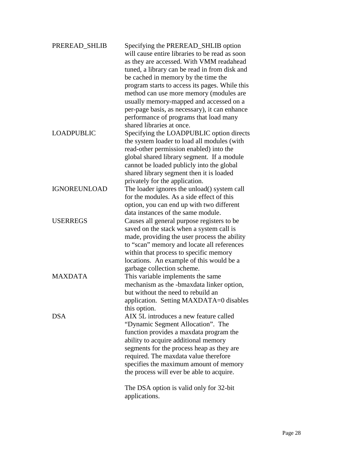| PREREAD_SHLIB       | Specifying the PREREAD_SHLIB option<br>will cause entire libraries to be read as soon |
|---------------------|---------------------------------------------------------------------------------------|
|                     | as they are accessed. With VMM readahead                                              |
|                     | tuned, a library can be read in from disk and                                         |
|                     | be cached in memory by the time the                                                   |
|                     | program starts to access its pages. While this                                        |
|                     | method can use more memory (modules are                                               |
|                     | usually memory-mapped and accessed on a                                               |
|                     | per-page basis, as necessary), it can enhance                                         |
|                     | performance of programs that load many                                                |
|                     | shared libraries at once.                                                             |
| <b>LOADPUBLIC</b>   | Specifying the LOADPUBLIC option directs                                              |
|                     | the system loader to load all modules (with                                           |
|                     | read-other permission enabled) into the                                               |
|                     | global shared library segment. If a module                                            |
|                     | cannot be loaded publicly into the global                                             |
|                     | shared library segment then it is loaded                                              |
|                     | privately for the application.                                                        |
| <b>IGNOREUNLOAD</b> | The loader ignores the unload() system call                                           |
|                     | for the modules. As a side effect of this                                             |
|                     | option, you can end up with two different                                             |
|                     | data instances of the same module.                                                    |
| <b>USERREGS</b>     | Causes all general purpose registers to be                                            |
|                     | saved on the stack when a system call is                                              |
|                     | made, providing the user process the ability                                          |
|                     | to "scan" memory and locate all references                                            |
|                     | within that process to specific memory                                                |
|                     | locations. An example of this would be a                                              |
|                     | garbage collection scheme.                                                            |
| <b>MAXDATA</b>      | This variable implements the same                                                     |
|                     | mechanism as the -bmaxdata linker option,                                             |
|                     | but without the need to rebuild an                                                    |
|                     | application. Setting MAXDATA=0 disables                                               |
|                     | this option.                                                                          |
| <b>DSA</b>          | AIX 5L introduces a new feature called                                                |
|                     | "Dynamic Segment Allocation". The                                                     |
|                     | function provides a maxdata program the                                               |
|                     | ability to acquire additional memory                                                  |
|                     | segments for the process heap as they are                                             |
|                     | required. The maxdata value therefore                                                 |
|                     | specifies the maximum amount of memory                                                |
|                     | the process will ever be able to acquire.                                             |
|                     |                                                                                       |
|                     | The DSA option is valid only for 32-bit                                               |
|                     | applications.                                                                         |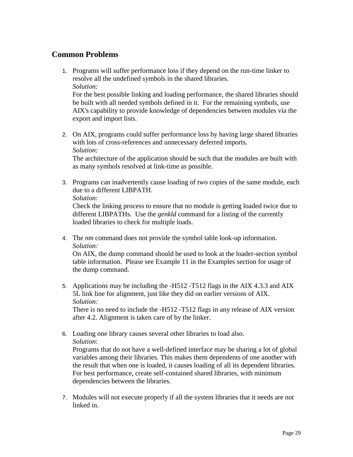## **Common Problems**

1. Programs will suffer performance loss if they depend on the run-time linker to resolve all the undefined symbols in the shared libraries. *Solution:*

For the best possible linking and loading performance, the shared libraries should be built with all needed symbols defined in it. For the remaining symbols, use AIX's capability to provide knowledge of dependencies between modules via the export and import lists.

2. On AIX, programs could suffer performance loss by having large shared libraries with lots of cross-references and unnecessary deferred imports. *Solution:*

The architecture of the application should be such that the modules are built with as many symbols resolved at link-time as possible.

3. Programs can inadvertently cause loading of two copies of the same module, each due to a different LIBPATH.

```
Solution:
```
Check the linking process to ensure that no module is getting loaded twice due to different LIBPATHs. Use the *genkld* command for a listing of the currently loaded libraries to check for multiple loads.

4. The *nm* command does not provide the symbol table look-up information. *Solution:*

On AIX, the dump command should be used to look at the loader-section symbol table information. Please see Example 11 in the Examples section for usage of the dump command.

5. Applications may be including the -H512 -T512 flags in the AIX 4.3.3 and AIX 5L link line for alignment, just like they did on earlier versions of AIX. *Solution:*

There is no need to include the -H512 -T512 flags in any release of AIX version after 4.2. Alignment is taken care of by the linker.

6. Loading one library causes several other libraries to load also. *Solution*:

Programs that do not have a well-defined interface may be sharing a lot of global variables among their libraries. This makes them dependents of one another with the result that when one is loaded, it causes loading of all its dependent libraries. For best performance, create self-contained shared libraries, with minimum dependencies between the libraries.

7. Modules will not execute properly if all the system libraries that it needs are not linked in.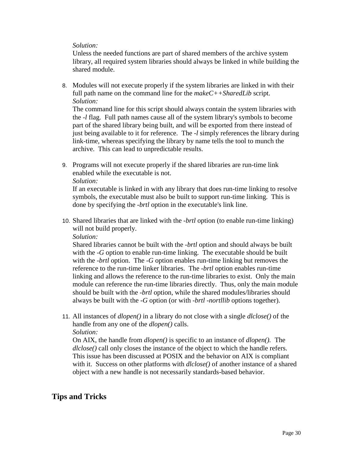#### *Solution:*

Unless the needed functions are part of shared members of the archive system library, all required system libraries should always be linked in while building the shared module.

8. Modules will not execute properly if the system libraries are linked in with their full path name on the command line for the *makeC++SharedLib* script. *Solution:*

The command line for this script should always contain the system libraries with the *-l* flag. Full path names cause all of the system library's symbols to become part of the shared library being built, and will be exported from there instead of just being available to it for reference. The *-l* simply references the library during link-time, whereas specifying the library by name tells the tool to munch the archive. This can lead to unpredictable results.

9. Programs will not execute properly if the shared libraries are run-time link enabled while the executable is not. *Solution:*

If an executable is linked in with any library that does run-time linking to resolve symbols, the executable must also be built to support run-time linking. This is done by specifying the *-brtl* option in the executable's link line.

10. Shared libraries that are linked with the *-brtl* option (to enable run-time linking) will not build properly.

*Solution:*

Shared libraries cannot be built with the *-brtl* option and should always be built with the *-G* option to enable run-time linking. The executable should be built with the *-brtl* option. The *-G* option enables run-time linking but removes the reference to the run-time linker libraries. The *-brtl* option enables run-time linking and allows the reference to the run-time libraries to exist. Only the main module can reference the run-time libraries directly. Thus, only the main module should be built with the *-brtl* option, while the shared modules/libraries should always be built with the *-G* option (or with *-brtl -nortllib* options together).

11. All instances of *dlopen()* in a library do not close with a single *dlclose()* of the handle from any one of the *dlopen()* calls. *Solution:*

On AIX, the handle from *dlopen()* is specific to an instance of *dlopen().* The *dlclose()* call only closes the instance of the object to which the handle refers. This issue has been discussed at POSIX and the behavior on AIX is compliant with it. Success on other platforms with *dlclose()* of another instance of a shared object with a new handle is not necessarily standards-based behavior.

## **Tips and Tricks**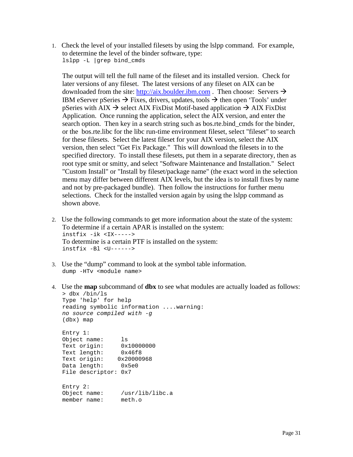1. Check the level of your installed filesets by using the lslpp command. For example, to determine the level of the binder software, type: lslpp -L |grep bind\_cmds

The output will tell the full name of the fileset and its installed version. Check for later versions of any fileset. The latest versions of any fileset on AIX can be downloaded from the site: http://aix.boulder.ibm.com . Then choose: Servers  $\rightarrow$ IBM eServer pSeries  $\rightarrow$  Fixes, drivers, updates, tools  $\rightarrow$  then open 'Tools' under pSeries with AIX  $\rightarrow$  select AIX FixDist Motif-based application  $\rightarrow$  AIX FixDist Application. Once running the application, select the AIX version, and enter the search option. Then key in a search string such as bos.rte.bind\_cmds for the binder, or the bos.rte.libc for the libc run-time environment fileset, select "fileset" to search for these filesets. Select the latest fileset for your AIX version, select the AIX version, then select "Get Fix Package." This will download the filesets in to the specified directory. To install these filesets, put them in a separate directory, then as root type smit or smitty, and select "Software Maintenance and Installation." Select "Custom Install" or "Install by fileset/package name" (the exact word in the selection menu may differ between different AIX levels, but the idea is to install fixes by name and not by pre-packaged bundle). Then follow the instructions for further menu selections. Check for the installed version again by using the lslpp command as shown above.

- 2. Use the following commands to get more information about the state of the system: To determine if a certain APAR is installed on the system: instfix -ik <IX-----> To determine is a certain PTF is installed on the system: instfix -Bl <U------>
- 3. Use the "dump" command to look at the symbol table information. dump -HTv <module name>
- 4. Use the **map** subcommand of **dbx** to see what modules are actually loaded as follows: > dbx /bin/ls

```
Type 'help' for help
reading symbolic information ....warning:
no source compiled with -g
(dbx) map
Entry 1:
Object name: ls
Text origin: 0x10000000
Text length: 0x46f8
Text origin: 0x20000968
Data length: 0x5e0
File descriptor: 0x7
Entry 2:
Object name: /usr/lib/libc.a
member name: meth.o
```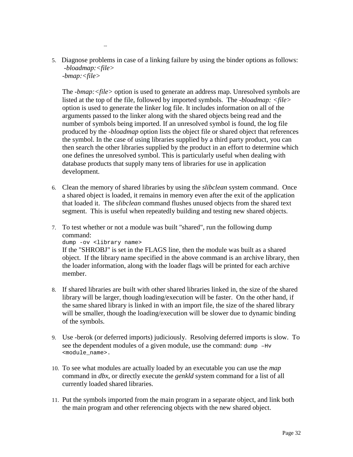5. Diagnose problems in case of a linking failure by using the binder options as follows: *-bloadmap:<file> -bmap:<file>*

…

The *-bmap:<file>* option is used to generate an address map. Unresolved symbols are listed at the top of the file, followed by imported symbols. The *-bloadmap: <file>* option is used to generate the linker log file. It includes information on all of the arguments passed to the linker along with the shared objects being read and the number of symbols being imported. If an unresolved symbol is found, the log file produced by the *-bloadmap* option lists the object file or shared object that references the symbol. In the case of using libraries supplied by a third party product, you can then search the other libraries supplied by the product in an effort to determine which one defines the unresolved symbol. This is particularly useful when dealing with database products that supply many tens of libraries for use in application development.

- 6. Clean the memory of shared libraries by using the *slibclean* system command. Once a shared object is loaded, it remains in memory even after the exit of the application that loaded it. The *slibclean* command flushes unused objects from the shared text segment. This is useful when repeatedly building and testing new shared objects.
- 7. To test whether or not a module was built "shared", run the following dump command: dump -ov <library name>

If the "SHROBJ" is set in the FLAGS line, then the module was built as a shared object. If the library name specified in the above command is an archive library, then the loader information, along with the loader flags will be printed for each archive member.

- 8. If shared libraries are built with other shared libraries linked in, the size of the shared library will be larger, though loading/execution will be faster. On the other hand, if the same shared library is linked in with an import file, the size of the shared library will be smaller, though the loading/execution will be slower due to dynamic binding of the symbols.
- 9. Use -berok (or deferred imports) judiciously. Resolving deferred imports is slow. To see the dependent modules of a given module, use the command: dump –Hv <module\_name>.
- 10. To see what modules are actually loaded by an executable you can use the *map* command in *dbx*, or directly execute the *genkld* system command for a list of all currently loaded shared libraries.
- 11. Put the symbols imported from the main program in a separate object, and link both the main program and other referencing objects with the new shared object.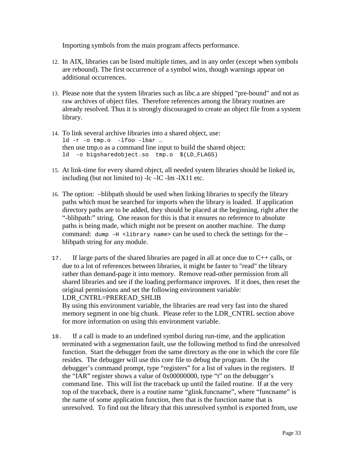Importing symbols from the main program affects performance.

- 12. In AIX, libraries can be listed multiple times, and in any order (except when symbols are rebound). The first occurrence of a symbol wins, though warnings appear on additional occurrences.
- 13. Please note that the system libraries such as libc.a are shipped "pre-bound" and not as raw archives of object files. Therefore references among the library routines are already resolved. Thus it is strongly discouraged to create an object file from a system library.
- 14. To link several archive libraries into a shared object, use: ld -r -o tmp.o -lfoo -lbar … then use tmp.o as a command line input to build the shared object: ld -o bigsharedobject.so tmp.o \$(LD\_FLAGS)
- 15. At link-time for every shared object, all needed system libraries should be linked in, including (but not limited to)  $-lc$  -lm -lX11 etc.
- 16. The option: –blibpath should be used when linking libraries to specify the library paths which must be searched for imports when the library is loaded. If application directory paths are to be added, they should be placed at the beginning, right after the "-blibpath:" string. One reason for this is that it ensures no reference to absolute paths is being made, which might not be present on another machine. The dump command: dump  $-H$  <library name> can be used to check the settings for the – blibpath string for any module.
- 17. If large parts of the shared libraries are paged in all at once due to C++ calls, or due to a lot of references between libraries, it might be faster to "read" the library rather than demand-page it into memory. Remove read-other permission from all shared libraries and see if the loading performance improves. If it does, then reset the original permissions and set the following environment variable: LDR\_CNTRL=PREREAD\_SHLIB

By using this environment variable, the libraries are read very fast into the shared memory segment in one big chunk. Please refer to the LDR\_CNTRL section above for more information on using this environment variable.

18. If a call is made to an undefined symbol during run-time, and the application terminated with a segmentation fault, use the following method to find the unresolved function. Start the debugger from the same directory as the one in which the core file resides. The debugger will use this core file to debug the program. On the debugger's command prompt, type "registers" for a list of values in the registers. If the "IAR" register shows a value of 0x00000000, type "t" on the debugger's command line. This will list the traceback up until the failed routine. If at the very top of the traceback, there is a routine name "glink.funcname", where "funcname" is the name of some application function, then that is the function name that is unresolved. To find out the library that this unresolved symbol is exported from, use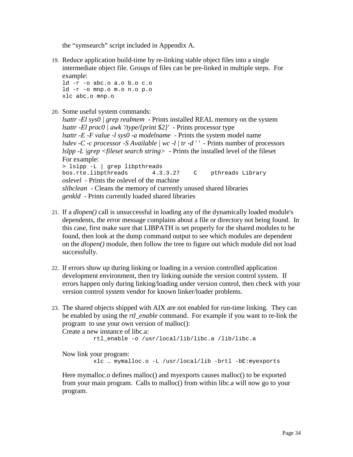the "symsearch" script included in Appendix A.

19. Reduce application build-time by re-linking stable object files into a single intermediate object file. Groups of files can be pre-linked in multiple steps. For example:

```
ld -r -o abc.o a.o b.o c.o
ld -r -o mnp.o m.o n.o p.o
xlc abc.o mnp.o
```
20. Some useful system commands:

```
lsattr -El sys0 | grep realmem - Prints installed REAL memory on the system
lsattr -El proc0 | awk '/type/{print $2}' - Prints processor type
lsattr -E -F value -l sys0 -a modelname - Prints the system model name
lsdev -C -c processor -S Available | wc -l | tr -d ' ' - Prints number of processors
lslpp -L |grep <fileset search string> - Prints the installed level of the fileset
For example:
> lslpp -L | grep libpthreads
bos.rte.libpthreads 4.3.3.27 C pthreads Library
oslevel - Prints the oslevel of the machine
slibclean - Cleans the memory of currently unused shared libraries
genkld - Prints currently loaded shared libraries
```
- 21. If a *dlopen()* call is unsuccessful in loading any of the dynamically loaded module's dependents, the error message complains about a file or directory not being found. In this case, first make sure that LIBPATH is set properly for the shared modules to be found, then look at the dump command output to see which modules are dependent on the *dlopen()* module, then follow the tree to figure out which module did not load successfully.
- 22. If errors show up during linking or loading in a version controlled application development environment, then try linking outside the version control system. If errors happen only during linking/loading under version control, then check with your version control system vendor for known linker/loader problems.
- 23. The shared objects shipped with AIX are not enabled for run-time linking. They can be enabled by using the *rtl\_enable* command. For example if you want to re-link the program to use your own version of malloc(): Create a new instance of libc.a:

```
 rtl_enable -o /usr/local/lib/libc.a /lib/libc.a
```
Now link your program:

xlc … mymalloc.o -L /usr/local/lib -brtl -bE:myexports

Here mymalloc.o defines malloc() and myexports causes malloc() to be exported from your main program. Calls to malloc() from within libc.a will now go to your program.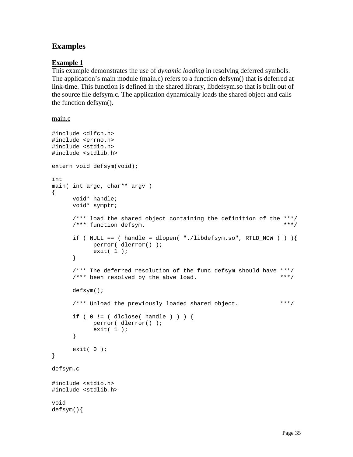## **Examples**

## **Example 1**

This example demonstrates the use of *dynamic loading* in resolving deferred symbols. The application's main module (main.c) refers to a function defsym() that is deferred at link-time. This function is defined in the shared library, libdefsym.so that is built out of the source file defsym.c. The application dynamically loads the shared object and calls the function defsym().

#### main.c

```
#include <dlfcn.h>
#include <errno.h>
#include <stdio.h>
#include <stdlib.h>
extern void defsym(void);
int
main( int argc, char** argv )
{
     void* handle;
     void* symptr;
      /*** load the shared object containing the definition of the ***/<br>/*** function defsym
      /*** function defsym. ***/
      if ( NULL == ( handle = dlopen( "./libdefsym.so", RTLD_NOW ) ) ) {}perror( dlerror() );
            exit(1);
      }
      /*** The deferred resolution of the func defsym should have ***/
      /*** been resolved by the abve load. ***/
      defsym();
      /*** Unload the previously loaded shared object. ***/
      if ( 0 := ( dlclose( handle ) ) ) {
            perror( dlerror() );
            exit( 1 );
      }
     exit(0);
}
defsym.c
#include <stdio.h>
#include <stdlib.h>
void
defsym(){
```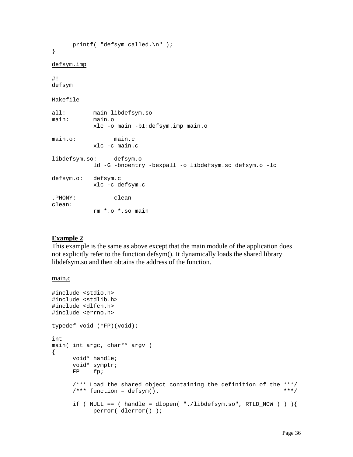```
printf( "defsym called.\n" );
}
defsym.imp
#!
defsym
Makefile
all: main libdefsym.so
main: main.o
          xlc -o main -bI:defsym.imp main.o
main.o: main.c
          xlc -c main.c
libdefsym.so: defsym.o
          ld -G -bnoentry -bexpall -o libdefsym.so defsym.o -lc
defsym.o: defsym.c
          xlc -c defsym.c
.PHONY: clean
clean:
          rm *.o *.so main
```
#### **Example 2**

This example is the same as above except that the main module of the application does not explicitly refer to the function defsym(). It dynamically loads the shared library libdefsym.so and then obtains the address of the function.

#### main.c

```
#include <stdio.h>
#include <stdlib.h>
#include <dlfcn.h>
#include <errno.h>
typedef void (*FP)(void);
int
main( int argc, char** argv )
{
      void* handle;
      void* symptr;
      FP fp;
      /*** Load the shared object containing the definition of the ***/<br>/*** function - defsym(). ***
      /*** function – defsym(). ***/
      if ( NULL == ( handle = dlopen "./libdefsym.so", RTLD_NOW ) ) ) {
             perror( dlerror() );
```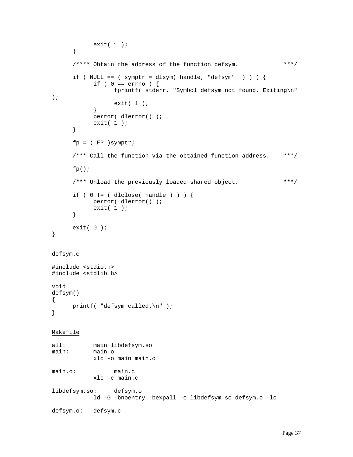```
exit( 1 );
      }
     /**** Obtain the address of the function defsym. ***/
     if ( NULL == ( symptr = dlsym( handle, "defsym" ) ) \{if ( 0 == errno ) {
                 fprintf( stderr, "Symbol defsym not found. Exiting\n"
);
                 exit(1);
           }
           perror( dlerror() );
           exit( 1 );
      }
     fp = (FP) symptr;/*** Call the function via the obtained function address. ***/
     fp();
     /*** Unload the previously loaded shared object. ***/
     if ( 0 != ( dlclose( handle ) ) ) {
           perror( dlerror() );
           exit( 1 );
     }
     exit( 0 );
}
defsym.c
#include <stdio.h>
#include <stdlib.h>
void
defsym()
{
     printf( "defsym called.\n" );
}
Makefile
all: main libdefsym.so
main: main.o
           xlc -o main main.o
main.o: main.c
           xlc -c main.c
libdefsym.so: defsym.o
           ld -G -bnoentry -bexpall -o libdefsym.so defsym.o -lc
defsym.o: defsym.c
```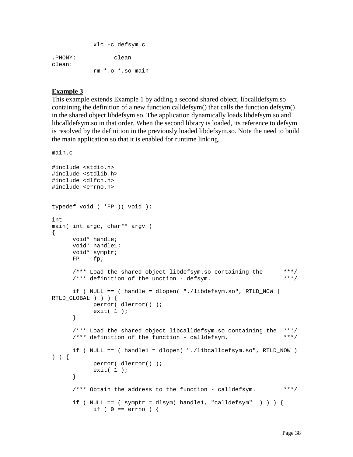|                   | xlc -c defsym.c  |
|-------------------|------------------|
| .PHONY:<br>clean: | clean            |
|                   | rm *.o *.so main |

#### **Example 3**

This example extends Example 1 by adding a second shared object, libcalldefsym.so containing the definition of a new function calldefsym() that calls the function defsym() in the shared object libdefsym.so. The application dynamically loads libdefsym.so and libcalldefsym.so in that order. When the second library is loaded, its reference to defsym is resolved by the definition in the previously loaded libdefsym.so. Note the need to build the main application so that it is enabled for runtime linking.

main.c

```
#include <stdio.h>
#include <stdlib.h>
#include <dlfcn.h>
#include <errno.h>
typedef void ( *FP )( void );
int
main( int argc, char** argv )
{
     void* handle;
     void* handle1;
     void* symptr;
     FP fp;
     /*** Load the shared object libdefsym.so containing the ***/
     /**** definition of the unction - defsym. ***/
     if ( NULL == ( handle = dlopen( "./libdefsym.so", RTLD_NOW |
RTLD_GLOBAL ) ) ) {
           perror( dlerror() );
           exit(1);
     }
     /*** Load the shared object libcalldefsym.so containing the ***/
     /*** definition of the function - calldefsym. ***/
     if ( NULL == ( handle1 = dlopen( "./libcalldefsym.so", RTLD_NOW )
) ) {
           perror( dlerror() );
           exit(1);
     }
     /*** Obtain the address to the function - calldefsym. ***/
     if ( NULL == ( symptr = dlsym( handle1, "calldefsym" ) ) ) \{if ( 0 == errno ) {
```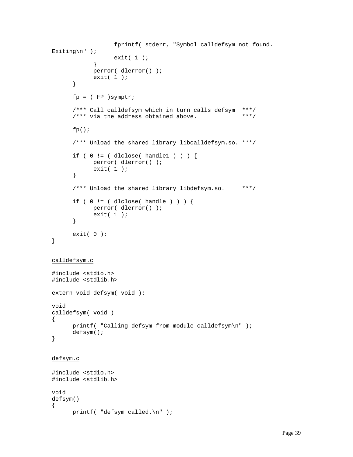```
fprintf( stderr, "Symbol calldefsym not found.
Exiting\n \begin{pmatrix} n' \\ n' \end{pmatrix};
                  exit(1);
            }
            perror( dlerror() );
            exit(1);
      }
      fp = (FP) symptr;/*** Call calldefsym which in turn calls defsym ***/
      /**** via the address obtained above. ***/
      fp();
      /*** Unload the shared library libcalldefsym.so. ***/
      if ( 0 := ( dlclose( handle1 ) ) ) {
            perror( dlerror() );
            exit(1);
      }
      /*** Unload the shared library libdefsym.so. ***/
      if ( 0 != ( dlclose( handle ) ) ) {
            perror( dlerror() );
            exit(1);
      }
      exit( 0 );
}
calldefsym.c
#include <stdio.h>
#include <stdlib.h>
extern void defsym( void );
void
calldefsym( void )
{
      printf( "Calling defsym from module calldefsym\n" );
      defsym();
}
defsym.c
#include <stdio.h>
#include <stdlib.h>
void
defsym()
{
      printf( "defsym called.\n" );
```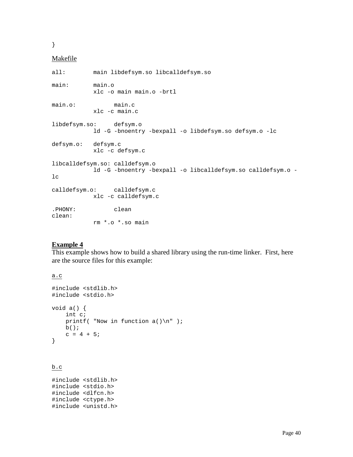}

#### Makefile

```
all: main libdefsym.so libcalldefsym.so
main: main.o
          xlc -o main main.o -brtl
main.o: main.c
          xlc -c main.c
libdefsym.so: defsym.o
          ld -G -bnoentry -bexpall -o libdefsym.so defsym.o -lc
defsym.o: defsym.c
          xlc -c defsym.c
libcalldefsym.so: calldefsym.o
          ld -G -bnoentry -bexpall -o libcalldefsym.so calldefsym.o -
lc
calldefsym.o: calldefsym.c
          xlc -c calldefsym.c
.PHONY: clean
clean:
          rm *.o *.so main
```
## **Example 4**

This example shows how to build a shared library using the run-time linker. First, here are the source files for this example:

```
a.c
```

```
#include <stdlib.h>
#include <stdio.h>
void a() {
     int c;
    printf( "Now in function a() \n\in \mathbb{R}" );
    b();
    c = 4 + 5;}
```
#### b.c

#include <stdlib.h> #include <stdio.h> #include <dlfcn.h> #include <ctype.h> #include <unistd.h>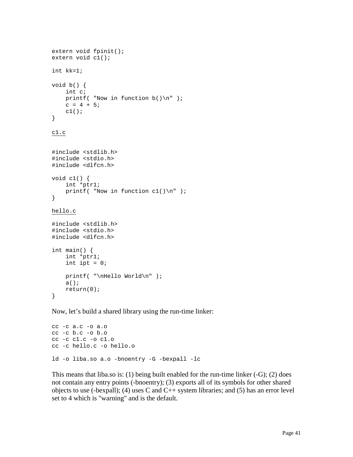```
extern void fpinit();
extern void c1();
int kk=1;
void b() {
     int c;
    printf( "Now in function b() \n\in );
    c = 4 + 5;c1();
}
c1.c
#include <stdlib.h>
#include <stdio.h>
#include <dlfcn.h>
void c1() {
     int *ptr1;
    printf( "Now in function c1() \n\pi );
}
hello.c
#include <stdlib.h>
#include <stdio.h>
#include <dlfcn.h>
int main() {
     int *ptr1;
    int ipt = 0;
     printf( "\nHello World\n" );
     a();
     return(0);
}
```
Now, let's build a shared library using the run-time linker:

```
cc -c a.c -o a.o
cc -c b.c -o b.o
cc -c c1.c -o c1.o
cc -c hello.c -o hello.o
ld -o liba.so a.o -bnoentry -G -bexpall -lc
```
This means that liba.so is: (1) being built enabled for the run-time linker (-G); (2) does not contain any entry points (-bnoentry); (3) exports all of its symbols for other shared objects to use (-bexpall); (4) uses C and  $C_{++}$  system libraries; and (5) has an error level set to 4 which is "warning" and is the default.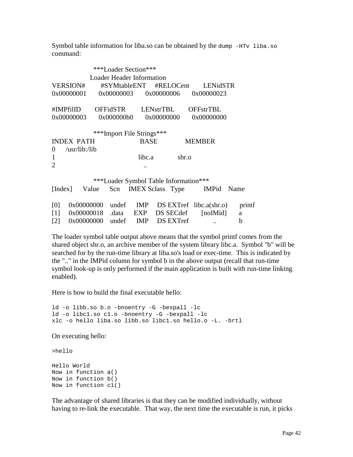Symbol table information for liba.so can be obtained by the dump -HTv liba.so command:

|                  |                      |       |            | ***Loader Section***                  |            |       |                                     |        |
|------------------|----------------------|-------|------------|---------------------------------------|------------|-------|-------------------------------------|--------|
|                  |                      |       |            | <b>Loader Header Information</b>      |            |       |                                     |        |
|                  | <b>VERSION#</b>      |       |            | #SYMtableENT                          |            |       | #RELOCent LENidSTR                  |        |
|                  | 0x00000001           |       | 0x00000003 |                                       | 0x00000006 |       | 0x00000023                          |        |
|                  | #IMPfilID            |       |            | OFFidSTR LENstrTBL                    |            |       | <b>OFFstrTBL</b>                    |        |
|                  | 0x00000003           |       | 0x000000b0 |                                       | 0x00000000 |       | 0x00000000                          |        |
|                  |                      |       |            | ***Import File Strings***             |            |       |                                     |        |
|                  | <b>INDEX PATH</b>    |       |            | <b>BASE</b>                           |            |       | <b>MEMBER</b>                       |        |
| $\boldsymbol{0}$ | $\sqrt{usr/lib}/lib$ |       |            |                                       |            |       |                                     |        |
| $\mathbf{1}$     |                      |       |            | libc.a                                |            | shr.o |                                     |        |
| $\overline{2}$   |                      |       |            |                                       |            |       |                                     |        |
|                  |                      |       |            |                                       |            |       |                                     |        |
|                  |                      |       |            | ***Loader Symbol Table Information*** |            |       |                                     |        |
| [Index]          |                      | Value |            |                                       |            |       | Scn IMEX Sclass Type IMPid          | Name   |
| [0]              | 0x00000000           |       | undef      |                                       |            |       | $IMP$ $DS$ $EXTref$ $libc.a(shr.o)$ | printf |
| $[1]$            | 0x00000018           |       | .data      | EXP                                   | DS SECdef  |       | [noMid]                             | a      |
| [2]              | 0x00000000           |       |            | undef IMP DS EXTref                   |            |       | $\cdot$ .                           | b      |

The loader symbol table output above means that the symbol printf comes from the shared object shr.o, an archive member of the system library libc.a. Symbol "b" will be searched for by the run-time library at liba.so's load or exec-time. This is indicated by the ".." in the IMPid column for symbol b in the above output (recall that run-time symbol look-up is only performed if the main application is built with run-time linking enabled).

Here is how to build the final executable hello:

```
ld -o libb.so b.o -bnoentry -G -bexpall -lc
ld -o libc1.so c1.o -bnoentry -G -bexpall -lc
xlc -o hello liba.so libb.so libc1.so hello.o -L. -brtl
```
On executing hello:

>hello

Hello World Now in function a() Now in function b() Now in function c1()

The advantage of shared libraries is that they can be modified individually, without having to re-link the executable. That way, the next time the executable is run, it picks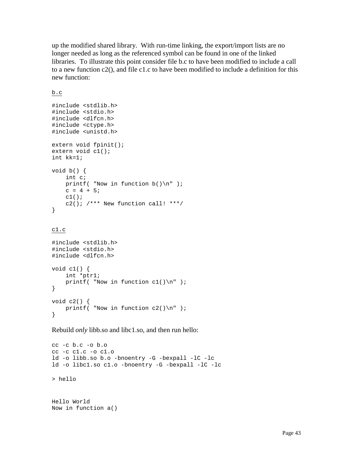up the modified shared library. With run-time linking, the export/import lists are no longer needed as long as the referenced symbol can be found in one of the linked libraries. To illustrate this point consider file b.c to have been modified to include a call to a new function c2(), and file c1.c to have been modified to include a definition for this new function:

b.c

```
#include <stdlib.h>
#include <stdio.h>
#include <dlfcn.h>
#include <ctype.h>
#include <unistd.h>
extern void fpinit();
extern void c1();
int kk=1;
void b() {
     int c;
    printf( "Now in function b() \n\in );
    c = 4 + 5;c1();
    c2(); /*** New function call! ***/
}
```
c1.c

```
#include <stdlib.h>
#include <stdio.h>
#include <dlfcn.h>
void c1() {
     int *ptr1;
    printf( "Now in function c1() \n\pi );
}
void c2() {
    printf( "Now in function c2() \n\pi" );
}
```
Rebuild *only* libb.so and libc1.so, and then run hello:

```
cc -c b.c -o b.o
cc -c c1.c -o c1.o
ld -o libb.so b.o -bnoentry -G -bexpall -lC -lc
ld -o libc1.so c1.o -bnoentry -G -bexpall -lC -lc
> hello
```

```
Hello World
Now in function a()
```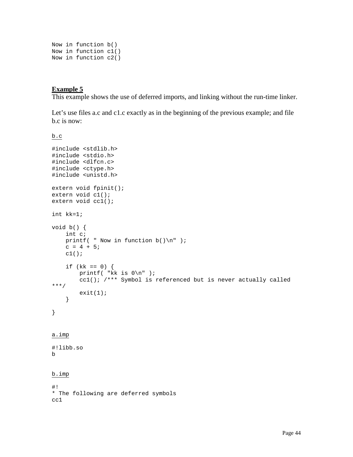```
Now in function b()
Now in function c1()
Now in function c2()
```
#### **Example 5**

This example shows the use of deferred imports, and linking without the run-time linker.

Let's use files a.c and c1.c exactly as in the beginning of the previous example; and file b.c is now:

b.c

```
#include <stdlib.h>
#include <stdio.h>
#include <dlfcn.c>
#include <ctype.h>
#include <unistd.h>
extern void fpinit();
extern void c1();
extern void cc1();
int kk=1;
void b() {
     int c;
    printf( " Now in function b() \n\| " );
    c = 4 + 5;c1();
    if (kk == 0) {
         printf( "kk is 0\n" );
         cc1(); /*** Symbol is referenced but is never actually called
***/
        exit(1); }
}
a.imp
#!libb.so
b
b.imp
#!
* The following are deferred symbols
cc1
```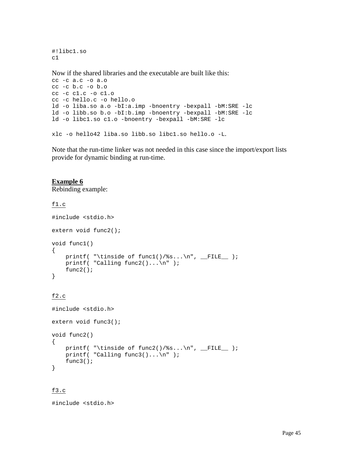#!libc1.so c1

Now if the shared libraries and the executable are built like this:

```
cc -c a.c -o a.o
cc -c b.c -o b.o
cc -c c1.c -o c1.o
cc -c hello.c -o hello.o
ld -o liba.so a.o -bI:a.imp -bnoentry -bexpall -bM:SRE -lc
ld -o libb.so b.o -bI:b.imp -bnoentry -bexpall -bM:SRE -lc
ld -o libc1.so c1.o -bnoentry -bexpall -bM:SRE -lc
```
xlc -o hello42 liba.so libb.so libc1.so hello.o -L.

Note that the run-time linker was not needed in this case since the import/export lists provide for dynamic binding at run-time.

#### **Example 6**

Rebinding example:

#### f1.c

```
#include <stdio.h>
extern void func2();
void func1()
\{printf( "\tinside of func1()/%s...\n", __FILE__ );
    printf( "Calling func2(), \ldots, n" );
     func2();
}
f2.c
#include <stdio.h>
extern void func3();
void func2()
{
    printf( "\tinside of func2()/%s...\n", _FILE );
    printf( "Calling func3()...\n \n \frac{\n \binom{n}{2}}{n^2}
```
## f3.c

}

#include <stdio.h>

func3();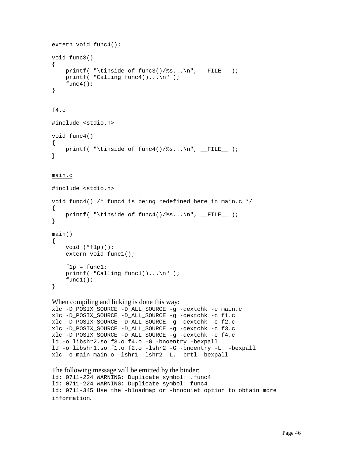```
extern void func4();
void func3()
{
    printf( "\tinside of func3()/%s...\n", __FILE__ );
   printf( "Calling func4()...\n \nu" );
   func4();
}
```
#### f4.c

```
#include <stdio.h>
void func4()
\{printf( "\tinside of func4()/%s...\n", __FILE__ );
}
```
#### main.c

```
#include <stdio.h>
void func4() /* func4 is being redefined here in main.c */
\{printf( "\tinside of func4()/%s...\n", _FILE );
}
main()
{
     void (*f1p)();
     extern void func1();
    f1p = func1;printf( "Calling func1() \ldots \n\rightharpoonup i func1();
}
```
#### When compiling and linking is done this way:

```
xlc -D_POSIX_SOURCE -D_ALL_SOURCE -g -qextchk -c main.c
xlc -D_POSIX_SOURCE -D_ALL_SOURCE -g -qextchk -c f1.c
xlc -D_POSIX_SOURCE -D_ALL_SOURCE -g -qextchk -c f2.c
xlc -D_POSIX_SOURCE -D_ALL_SOURCE -g -qextchk -c f3.c
xlc -D_POSIX_SOURCE -D_ALL_SOURCE -g -qextchk -c f4.c
ld -o libshr2.so f3.o f4.o -G -bnoentry -bexpall
ld -o libshr1.so f1.o f2.o -lshr2 -G -bnoentry -L. -bexpall
xlc -o main main.o -lshr1 -lshr2 -L. -brtl -bexpall
```

```
The following message will be emitted by the binder:
ld: 0711-224 WARNING: Duplicate symbol: .func4
ld: 0711-224 WARNING: Duplicate symbol: func4
ld: 0711-345 Use the -bloadmap or -bnoquiet option to obtain more
information.
```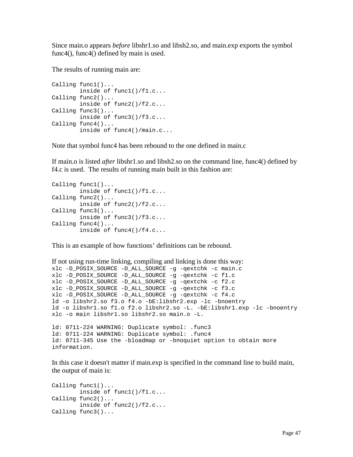Since main.o appears *before* libshr1.so and libsh2.so, and main.exp exports the symbol func4(), func4() defined by main is used.

The results of running main are:

```
Calling func1()...
         inside of func1()/f1.c...
Calling func2()...
         inside of func2()/f2.c...
Calling func3()...
         inside of func3()/f3.c...
Calling func4()...
         inside of func4()/main.c...
```
Note that symbol func4 has been rebound to the one defined in main.c

If main.o is listed *after* libshr1.so and libsh2.so on the command line, func4() defined by f4.c is used. The results of running main built in this fashion are:

```
Calling func1()...
         inside of func1()/f1.c...
Calling func2()...
         inside of func2()/f2.c...
Calling func3()...
         inside of func3()/f3.c...
Calling func4()...
         inside of func4()/f4.c...
```
This is an example of how functions' definitions can be rebound.

```
If not using run-time linking, compiling and linking is done this way:
xlc -D_POSIX_SOURCE -D_ALL_SOURCE -g -qextchk -c main.c
xlc -D_POSIX_SOURCE -D_ALL_SOURCE -g -qextchk -c f1.c
xlc -D_POSIX_SOURCE -D_ALL_SOURCE -g -qextchk -c f2.c
xlc -D_POSIX_SOURCE -D_ALL_SOURCE -g -qextchk -c f3.c
xlc -D_POSIX_SOURCE -D_ALL_SOURCE -g -qextchk -c f4.c
ld -o libshr2.so f3.o f4.o -bE:libshr2.exp -lc -bnoentry
ld -o libshr1.so f1.o f2.o libshr2.so -L. -bE:libshr1.exp -lc -bnoentry
xlc -o main libshr1.so libshr2.so main.o -L.
ld: 0711-224 WARNING: Duplicate symbol: .func3
ld: 0711-224 WARNING: Duplicate symbol: .func4
ld: 0711-345 Use the -bloadmap or -bnoquiet option to obtain more
information.
```
In this case it doesn't matter if main.exp is specified in the command line to build main, the output of main is:

```
Calling func1()...
         inside of func1()/f1.c...
Calling func2()...
         inside of func2()/f2.c...
Calling func3()...
```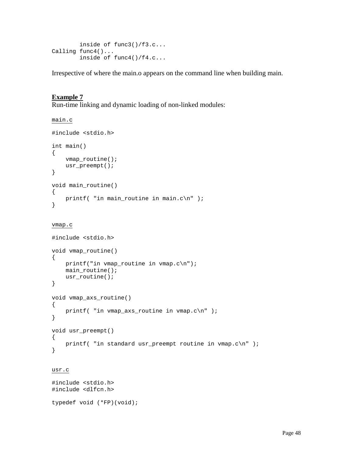```
 inside of func3()/f3.c...
Calling func4()...
         inside of func4()/f4.c...
```
Irrespective of where the main.o appears on the command line when building main.

#### **Example 7**

Run-time linking and dynamic loading of non-linked modules:

```
main.c
#include <stdio.h>
int main()
{
     vmap_routine();
     usr_preempt();
}
void main_routine()
{
    printf( "in main_routine in main.c\n" );
}
vmap.c
#include <stdio.h>
void vmap_routine()
{
     printf("in vmap_routine in vmap.c\n");
     main_routine();
    usr_routine();
}
void vmap_axs_routine()
{
     printf( "in vmap_axs_routine in vmap.c\n" );
}
void usr_preempt()
{
    printf( "in standard usr_preempt routine in vmap.c\n\alpha" );
}
```
#### usr.c

```
#include <stdio.h>
#include <dlfcn.h>
typedef void (*FP)(void);
```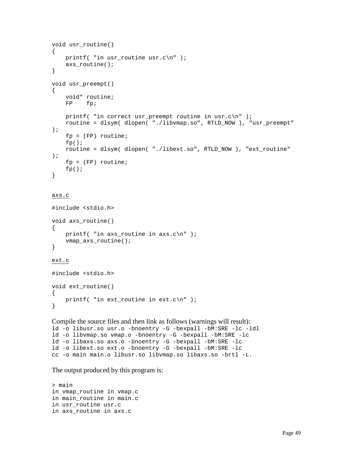```
void usr_routine()
{
   printf( "in usr_routine usr.c\n" );
   axs routine();
}
void usr_preempt()
{
    void* routine;
    FP fp;
   printf( "in correct usr_preempt routine in usr.c\n" );
    routine = dlsym( dlopen( "./libvmap.so", RTLD_NOW ), "usr_preempt"
);
     fp = (FP) routine;
    fp();
    routine = dlsym( dlopen( "./libext.so", RTLD_NOW ), "ext_routine"
);
   fp = (FP) routine;
    fp();
}
```
#### axs.c

```
#include <stdio.h>
void axs_routine()
{
    printf( "in axs_routine in axis.c\n" );
     vmap_axs_routine();
}
```
#### ext.c

#include <stdio.h> void ext\_routine() { printf( "in ext\_routine in ext.c\n" ); }

Compile the source files and then link as follows (warnings will result): ld -o libusr.so usr.o -bnoentry -G -bexpall -bM:SRE -lc -ldl ld -o libvmap.so vmap.o -bnoentry -G -bexpall -bM:SRE -lc ld -o libaxs.so axs.o -bnoentry -G -bexpall -bM:SRE -lc ld -o libext.so ext.o -bnoentry -G -bexpall -bM:SRE -lc cc -o main main.o libusr.so libvmap.so libaxs.so -brtl -L.

The output produced by this program is:

> main in vmap\_routine in vmap.c in main\_routine in main.c in usr\_routine usr.c in axs\_routine in axs.c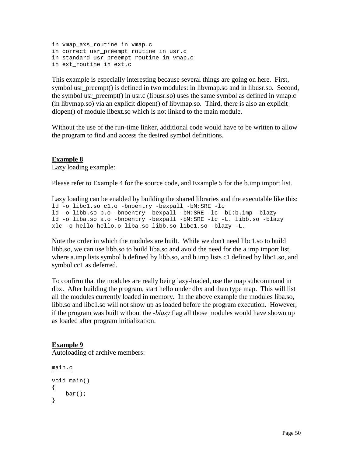```
in vmap_axs_routine in vmap.c
in correct usr_preempt routine in usr.c
in standard usr_preempt routine in vmap.c
in ext_routine in ext.c
```
This example is especially interesting because several things are going on here. First, symbol usr\_preempt() is defined in two modules: in libvmap.so and in libusr.so. Second, the symbol usr preempt() in usr.c (libusr.so) uses the same symbol as defined in vmap.c (in libvmap.so) via an explicit dlopen() of libvmap.so. Third, there is also an explicit dlopen() of module libext.so which is not linked to the main module.

Without the use of the run-time linker, additional code would have to be written to allow the program to find and access the desired symbol definitions.

## **Example 8**

Lazy loading example:

Please refer to Example 4 for the source code, and Example 5 for the b.imp import list.

```
Lazy loading can be enabled by building the shared libraries and the executable like this:
ld -o libc1.so c1.o -bnoentry -bexpall -bM:SRE -lc
ld -o libb.so b.o -bnoentry -bexpall -bM:SRE -lc -bI:b.imp -blazy
ld -o liba.so a.o -bnoentry -bexpall -bM:SRE -lc -L. libb.so -blazy
xlc -o hello hello.o liba.so libb.so libc1.so -blazy -L.
```
Note the order in which the modules are built. While we don't need libc1.so to build libb.so, we can use libb.so to build liba.so and avoid the need for the a.imp import list, where a.imp lists symbol b defined by libb.so, and b.imp lists c1 defined by libc1.so, and symbol cc1 as deferred.

To confirm that the modules are really being lazy-loaded, use the map subcommand in dbx. After building the program, start hello under dbx and then type map. This will list all the modules currently loaded in memory. In the above example the modules liba.so, libb.so and libc1.so will not show up as loaded before the program execution. However, if the program was built without the *-blazy* flag all those modules would have shown up as loaded after program initialization.

## **Example 9**

Autoloading of archive members:

```
main.c
void main()
{
     bar();
}
```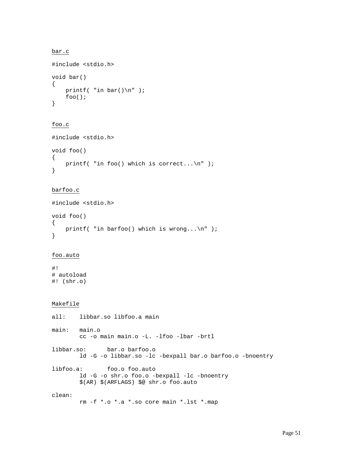```
bar.c
#include <stdio.h>
void bar()
{
    printf( "in bar() \n\in' );
     foo();
}
```

```
foo.c
```

```
#include <stdio.h>
void foo()
{
    printf( "in foo() which is correct...\n\cdot \n\cdot );
}
```

```
barfoo.c
```

```
#include <stdio.h>
void foo()
{
   printf( "in barfoo() which is wrong...\n" );
}
```
#### foo.auto

#! # autoload #! (shr.o)

#### Makefile

```
all: libbar.so libfoo.a main
main: main.o
        cc -o main main.o -L. -lfoo -lbar -brtl
libbar.so: bar.o barfoo.o
        ld -G -o libbar.so -lc -bexpall bar.o barfoo.o -bnoentry
libfoo.a: foo.o foo.auto
        ld -G -o shr.o foo.o -bexpall -lc -bnoentry
        $(AR) $(ARFLAGS) $@ shr.o foo.auto
clean:
        rm -f *.o *.a *.so core main *.lst *.map
```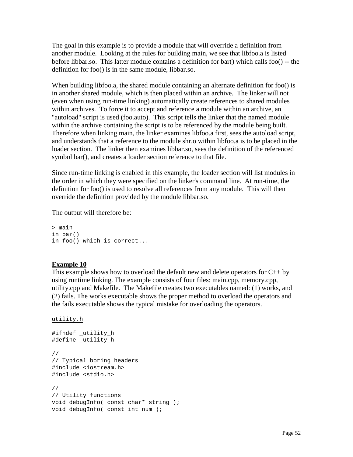The goal in this example is to provide a module that will override a definition from another module. Looking at the rules for building main, we see that libfoo.a is listed before libbar.so. This latter module contains a definition for bar() which calls foo() -- the definition for foo() is in the same module, libbar.so.

When building libfoo.a, the shared module containing an alternate definition for foo() is in another shared module, which is then placed within an archive. The linker will not (even when using run-time linking) automatically create references to shared modules within archives. To force it to accept and reference a module within an archive, an "autoload" script is used (foo.auto). This script tells the linker that the named module within the archive containing the script is to be referenced by the module being built. Therefore when linking main, the linker examines libfoo.a first, sees the autoload script, and understands that a reference to the module shr.o within libfoo.a is to be placed in the loader section. The linker then examines libbar.so, sees the definition of the referenced symbol bar(), and creates a loader section reference to that file.

Since run-time linking is enabled in this example, the loader section will list modules in the order in which they were specified on the linker's command line. At run-time, the definition for foo() is used to resolve all references from any module. This will then override the definition provided by the module libbar.so.

The output will therefore be:

> main in bar() in foo() which is correct...

## **Example 10**

This example shows how to overload the default new and delete operators for C++ by using runtime linking. The example consists of four files: main.cpp, memory.cpp, utility.cpp and Makefile. The Makefile creates two executables named: (1) works, and (2) fails. The works executable shows the proper method to overload the operators and the fails executable shows the typical mistake for overloading the operators.

```
utility.h
```

```
#ifndef _utility_h
#define _utility_h
//
// Typical boring headers
#include <iostream.h>
#include <stdio.h>
//
// Utility functions
void debugInfo( const char* string );
void debugInfo( const int num );
```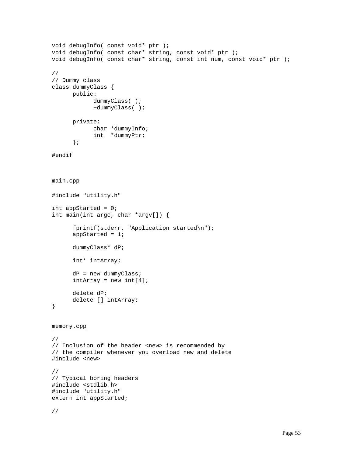```
void debugInfo( const void* ptr );
void debugInfo( const char* string, const void* ptr );
void debugInfo( const char* string, const int num, const void* ptr );
//
// Dummy class
class dummyClass {
      public:
            dummyClass( );
            ~dummyClass( );
      private:
            char *dummyInfo;
            int *dummyPtr;
      };
#endif
main.cpp
#include "utility.h"
int appStarted = 0;
int main(int argc, char *argv[]) {
      fprintf(stderr, "Application started\n");
      appStarted = 1;
      dummyClass* dP;
      int* intArray;
      dP = new dummyClass;
      intArray = new int[4];delete dP;
      delete [] intArray;
}
memory.cpp
//
// Inclusion of the header <new> is recommended by
// the compiler whenever you overload new and delete
#include <new>
//
// Typical boring headers
#include <stdlib.h>
#include "utility.h"
extern int appStarted;
//
```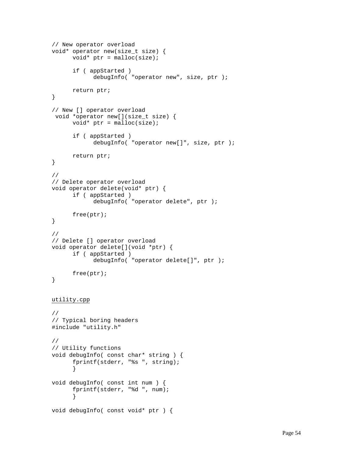```
// New operator overload
void* operator new(size_t size) {
      void* ptr = malloc(size);
      if ( appStarted )
            debugInfo( "operator new", size, ptr );
      return ptr;
}
// New [] operator overload
  void *operator new[](size_t size) {
      void* ptr = malloc(size);
      if ( appStarted )
            debugInfo( "operator new[]", size, ptr );
      return ptr;
}
//
// Delete operator overload
void operator delete(void* ptr) {
      if ( appStarted )
            debugInfo( "operator delete", ptr );
      free(ptr);
}
//
// Delete [] operator overload
void operator delete[](void *ptr) {
      if ( appStarted )
            debugInfo( "operator delete[]", ptr );
      free(ptr);
}
utility.cpp
//
// Typical boring headers
#include "utility.h"
//
// Utility functions
void debugInfo( const char* string ) {
      fprintf(stderr, "%s ", string);
      }
void debugInfo( const int num ) {
      fprintf(stderr, "%d ", num);
      }
void debugInfo( const void* ptr ) {
```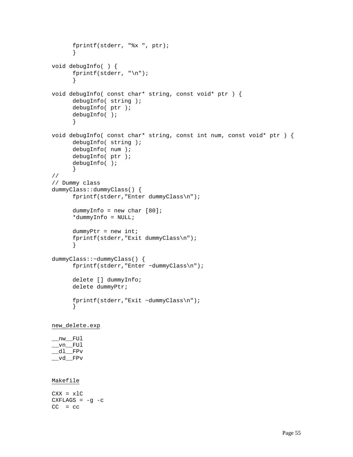```
fprintf(stderr, "%x ", ptr);
      }
void debugInfo( ) {
      fprintf(stderr, "\n");
      }
void debugInfo( const char* string, const void* ptr ) {
      debugInfo( string );
      debugInfo( ptr );
      debugInfo( );
      }
void debugInfo( const char* string, const int num, const void* ptr ) {
      debugInfo( string );
      debugInfo( num );
      debugInfo( ptr );
      debugInfo( );
      }
//
// Dummy class
dummyClass::dummyClass() {
      fprintf(stderr,"Enter dummyClass\n");
      dummyInfo = new char [80];
      *dummyInfo = NULL;
      dummyPtr = new int;
      fprintf(stderr,"Exit dummyClass\n");
      }
dummyClass::~dummyClass() {
      fprintf(stderr,"Enter ~dummyClass\n");
      delete [] dummyInfo;
      delete dummyPtr;
      fprintf(stderr,"Exit ~dummyClass\n");
      }
```

```
new_delete.exp
```
 $\_$ nw $\_$  FUl  $\_vn$ FUl  $dl$  FPv \_\_vd\_\_FPv

#### Makefile

 $CXX = x1C$ CXFLAGS =  $-g -c$  $CC = CC$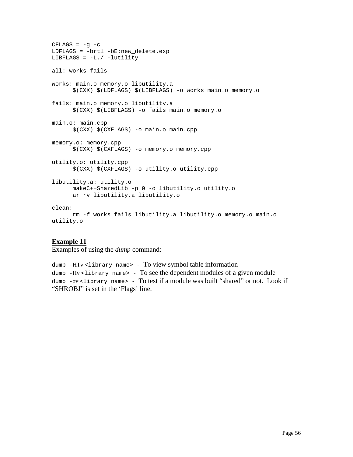```
CFLAGS = -g -cLDFLAGS = -brtl -bE:new_delete.exp
LIBFLAGS = -L./ -lutility
all: works fails
works: main.o memory.o libutility.a
      $(CXX) $(LDFLAGS) $(LIBFLAGS) -o works main.o memory.o
fails: main.o memory.o libutility.a
      $(CXX) $(LIBFLAGS) -o fails main.o memory.o
main.o: main.cpp
      $(CXX) $(CXFLAGS) -o main.o main.cpp
memory.o: memory.cpp
      $(CXX) $(CXFLAGS) -o memory.o memory.cpp
utility.o: utility.cpp
      $(CXX) $(CXFLAGS) -o utility.o utility.cpp
libutility.a: utility.o
     makeC++SharedLib -p 0 -o libutility.o utility.o
      ar rv libutility.a libutility.o
clean:
     rm -f works fails libutility.a libutility.o memory.o main.o
utility.o
```
#### **Example 11**

Examples of using the *dump* command:

dump -HTv <library name> - To view symbol table information dump  $-Hv$  <library name> - To see the dependent modules of a given module dump -ov <library name> - To test if a module was built "shared" or not. Look if "SHROBJ" is set in the 'Flags' line.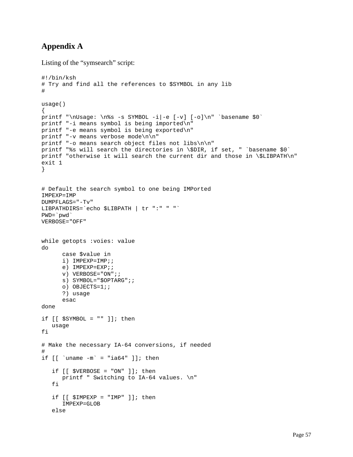## **Appendix A**

Listing of the "symsearch" script:

```
#!/bin/ksh
# Try and find all the references to $SYMBOL in any lib
#
usage()
{
printf "\nUsage: \n%s -s SYMBOL -i|-e [-v] [-o]\n" `basename $0`
printf "-i means symbol is being imported\n"
printf "-e means symbol is being exported\n"
printf "-v means verbose mode\n\n"
printf "-o means search object files not libs\n\n"
printf "%s will search the directories in \$DIR, if set, " `basename $0`
printf "otherwise it will search the current dir and those in \$LIBPATH\n"
exit 1
}
# Default the search symbol to one being IMPorted
IMPEXP=IMP
DUMPFLAGS="-Tv"
LIBPATHDIRS=`echo $LIBPATH | tr ":" " "`
PWD=`pwd`
VERBOSE="OFF"
while getopts :voies: value
do
       case $value in
       i) IMPEXP=IMP;;
       e) IMPEXP=EXP;;
       v) VERBOSE="ON";;
       s) SYMBOL="$OPTARG";;
       o) OBJECTS=1;;
       ?) usage
       esac
done
if [[ $SYMBOL = " " ]]; then
    usage
fi
# Make the necessary IA-64 conversions, if needed
#
if [ \lceil \lceil \lceil \lceil \lceil \lceil \lceil \lceil \lceil \lceil \lceil \lceil \lceil \lceil \lceil \lceil \lceil \lceil \lceil \lceil \lceil \lceil \lceil \lceil \lceil \lceil \lceil \lceil \lceil \lceil \lceil \lceil \lceil \lceil \lceil \lceilif [ \forall ERBOSE = "ON" ] ; then
        printf " Switching to IA-64 values. \n"
    fi
    if [ \exists IMPEXP = "IMP" ] ; then
        IMPEXP=GLOB
    else
```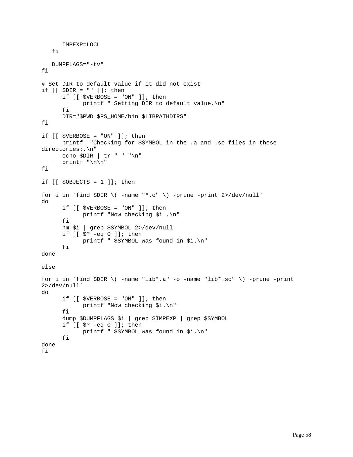```
 IMPEXP=LOCL
    fi
   DUMPFLAGS="-tv"
fi
# Set DIR to default value if it did not exist
if [ \$DIR = " " ] ; then
      if [ $VERBOSE = "ON" ]; then
            printf " Setting DIR to default value.\n"
      fi
      DIR="$PWD $PS_HOME/bin $LIBPATHDIRS"
fi
if [[ $VERBOSE = "ON" ]]; then
      printf "Checking for $SYMBOL in the .a and .so files in these
directories:.\n"
      echo $DIR | tr " " "\n"
      printf "\n\n"
fi
if [[ $OBJECTS = 1 ]]; then
for i in `find $DIR \( -name "*.o" \) -prune -print 2>/dev/null`
do
      if [ \forall ERBOSE = "ON" ]; then
            printf "Now checking $i .\n"
      fi
      nm $i | grep $SYMBOL 2>/dev/null
      if [[ $? -eq 0 ]]; then
            printf " $SYMBOL was found in $i.\n"
      fi
done
else
for i in `find $DIR \( -name "lib*.a" -o -name "lib*.so" \) -prune -print
2>/dev/null`
do
      if [[ $VERBOSE = "ON" ]]; then
            printf "Now checking $i.\n"
      fi
      dump $DUMPFLAGS $i | grep $IMPEXP | grep $SYMBOL
      if [[ $? -eq 0 ]]; then
            printf " $SYMBOL was found in $i.\n"
      fi
done
fi
```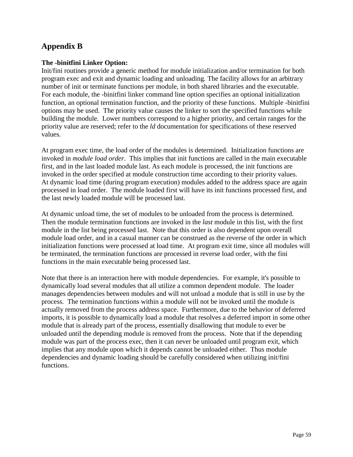## **Appendix B**

#### **The -binitfini Linker Option:**

Init/fini routines provide a generic method for module initialization and/or termination for both program exec and exit and dynamic loading and unloading. The facility allows for an arbitrary number of init or terminate functions per module, in both shared libraries and the executable. For each module, the -binitfini linker command line option specifies an optional initialization function, an optional termination function, and the priority of these functions. Multiple -binitfini options may be used. The priority value causes the linker to sort the specified functions while building the module. Lower numbers correspond to a higher priority, and certain ranges for the priority value are reserved; refer to the *ld* documentation for specifications of these reserved values.

At program exec time, the load order of the modules is determined. Initialization functions are invoked in *module load order*. This implies that init functions are called in the main executable first, and in the last loaded module last. As each module is processed, the init functions are invoked in the order specified at module construction time according to their priority values. At dynamic load time (during program execution) modules added to the address space are again processed in load order. The module loaded first will have its init functions processed first, and the last newly loaded module will be processed last.

At dynamic unload time, the set of modules to be unloaded from the process is determined. Then the module termination functions are invoked in the *last* module in this list, with the first module in the list being processed last. Note that this order is also dependent upon overall module load order, and in a casual manner can be construed as the reverse of the order in which initialization functions were processed at load time. At program exit time, since all modules will be terminated, the termination functions are processed in reverse load order, with the fini functions in the main executable being processed last.

Note that there is an interaction here with module dependencies. For example, it's possible to dynamically load several modules that all utilize a common dependent module. The loader manages dependencies between modules and will not unload a module that is still in use by the process. The termination functions within a module will not be invoked until the module is actually removed from the process address space. Furthermore, due to the behavior of deferred imports, it is possible to dynamically load a module that resolves a deferred import in some other module that is already part of the process, essentially disallowing that module to ever be unloaded until the depending module is removed from the process. Note that if the depending module was part of the process exec, then it can never be unloaded until program exit, which implies that any module upon which it depends cannot be unloaded either. Thus module dependencies and dynamic loading should be carefully considered when utilizing init/fini functions.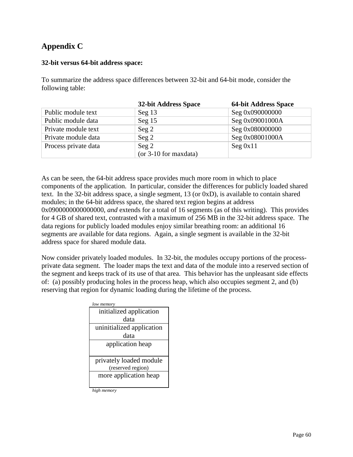## **Appendix C**

#### **32-bit versus 64-bit address space:**

To summarize the address space differences between 32-bit and 64-bit mode, consider the following table:

|                      | 32-bit Address Space   | <b>64-bit Address Space</b> |
|----------------------|------------------------|-----------------------------|
| Public module text   | Seg $13$               | Seg 0x090000000             |
| Public module data   | Seg $15$               | Seg 0x09001000A             |
| Private module text  | $\operatorname{Seg} 2$ | Seg 0x080000000             |
| Private module data  | $\text{Seg } 2$        | Seg 0x08001000A             |
| Process private data | $\operatorname{Seg} 2$ | Seg 0x11                    |
|                      | (or 3-10 for maxdata)  |                             |

As can be seen, the 64-bit address space provides much more room in which to place components of the application. In particular, consider the differences for publicly loaded shared text. In the 32-bit address space, a single segment, 13 (or 0xD), is available to contain shared modules; in the 64-bit address space, the shared text region begins at address 0x0900000000000000, *and* extends for a total of 16 segments (as of this writing). This provides for 4 GB of shared text, contrasted with a maximum of 256 MB in the 32-bit address space. The data regions for publicly loaded modules enjoy similar breathing room: an additional 16 segments are available for data regions. Again, a single segment is available in the 32-bit address space for shared module data.

Now consider privately loaded modules. In 32-bit, the modules occupy portions of the processprivate data segment. The loader maps the text and data of the module into a reserved section of the segment and keeps track of its use of that area. This behavior has the unpleasant side effects of: (a) possibly producing holes in the process heap, which also occupies segment 2, and (b) reserving that region for dynamic loading during the lifetime of the process.

| low memory                |
|---------------------------|
| initialized application   |
| data                      |
| uninitialized application |
| data                      |
| application heap          |
|                           |
| privately loaded module   |
| (reserved region)         |
| more application heap     |
|                           |

*high memory*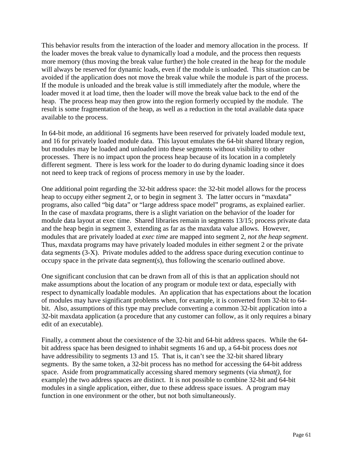This behavior results from the interaction of the loader and memory allocation in the process. If the loader moves the break value to dynamically load a module, and the process then requests more memory (thus moving the break value further) the hole created in the heap for the module will always be reserved for dynamic loads, even if the module is unloaded. This situation can be avoided if the application does not move the break value while the module is part of the process. If the module is unloaded and the break value is still immediately after the module, where the loader moved it at load time, then the loader will move the break value back to the end of the heap. The process heap may then grow into the region formerly occupied by the module. The result is some fragmentation of the heap, as well as a reduction in the total available data space available to the process.

In 64-bit mode, an additional 16 segments have been reserved for privately loaded module text, and 16 for privately loaded module data. This layout emulates the 64-bit shared library region, but modules may be loaded and unloaded into these segments without visibility to other processes. There is no impact upon the process heap because of its location in a completely different segment. There is less work for the loader to do during dynamic loading since it does not need to keep track of regions of process memory in use by the loader.

One additional point regarding the 32-bit address space: the 32-bit model allows for the process heap to occupy either segment 2, or to begin in segment 3. The latter occurs in "maxdata" programs, also called "big data" or "large address space model" programs, as explained earlier. In the case of maxdata programs, there is a slight variation on the behavior of the loader for module data layout at exec time. Shared libraries remain in segments 13/15; process private data and the heap begin in segment 3, extending as far as the maxdata value allows. However, modules that are privately loaded at *exec time* are mapped into segment 2, *not the heap segment*. Thus, maxdata programs may have privately loaded modules in either segment 2 or the private data segments (3-X). Private modules added to the address space during execution continue to occupy space in the private data segment(s), thus following the scenario outlined above.

One significant conclusion that can be drawn from all of this is that an application should not make assumptions about the location of any program or module text or data, especially with respect to dynamically loadable modules. An application that has expectations about the location of modules may have significant problems when, for example, it is converted from 32-bit to 64 bit. Also, assumptions of this type may preclude converting a common 32-bit application into a 32-bit maxdata application (a procedure that any customer can follow, as it only requires a binary edit of an executable).

Finally, a comment about the coexistence of the 32-bit and 64-bit address spaces. While the 64 bit address space has been designed to inhabit segments 16 and up, a 64-bit process does *not* have addressibility to segments 13 and 15. That is, it can't see the 32-bit shared library segments. By the same token, a 32-bit process has no method for accessing the 64-bit address space. Aside from programmatically accessing shared memory segments (via *shmat()*, for example) the two address spaces are distinct. It is not possible to combine 32-bit and 64-bit modules in a single application, either, due to these address space issues. A program may function in one environment or the other, but not both simultaneously.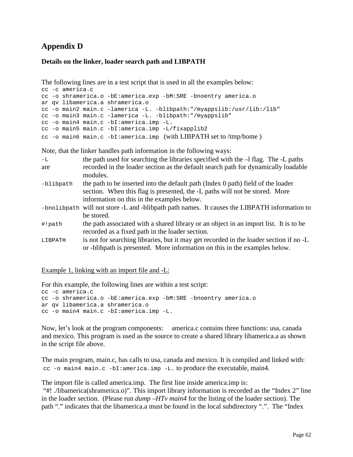## **Appendix D**

#### **Details on the linker, loader search path and LIBPATH**

The following lines are in a test script that is used in all the examples below:

```
cc -c america.c
cc -o shramerica.o -bE:america.exp -bM:SRE -bnoentry america.o
ar qv libamerica.a shramerica.o
cc -o main2 main.c -lamerica -L. -blibpath:"/myappslib:/usr/lib:/lib"
cc -o main3 main.c -lamerica -L. -blibpath:"/myappslib"
cc -o main4 main.c -bI:america.imp -L.
cc -o main5 main.c -bI:america.imp -L/fixapplib2
cc -o main6 main.c -bI:america.imp (with LIBPATH set to /tmp/home )
```
Note, that the linker handles path information in the following ways:

| $-L$      | the path used for searching the libraries specified with the $-1$ flag. The $-1$ paths                                                                                                                        |
|-----------|---------------------------------------------------------------------------------------------------------------------------------------------------------------------------------------------------------------|
| are       | recorded in the loader section as the default search path for dynamically loadable<br>modules.                                                                                                                |
| -blibpath | the path to be inserted into the default path (Index 0 path) field of the loader<br>section. When this flag is presented, the -L paths will not be stored. More<br>information on this in the examples below. |
|           | -bnolibpath will not store -L and -blibpath path names. It causes the LIBPATH information to<br>be stored.                                                                                                    |
| #!path    | the path associated with a shared library or an object in an import list. It is to be<br>recorded as a fixed path in the loader section.                                                                      |
| LIBPATH   | is not for searching libraries, but it may get recorded in the loader section if no -L<br>or -blibpath is presented. More information on this in the examples below.                                          |

Example 1, linking with an import file and -L:

```
For this example, the following lines are within a test script:
cc -c america.c
cc -o shramerica.o -bE:america.exp -bM:SRE -bnoentry america.o
ar qv libamerica.a shramerica.o
cc -o main4 main.c -bI:america.imp -L.
```
Now, let's look at the program components: america.c contains three functions: usa, canada and mexico. This program is used as the source to create a shared library libamerica.a as shown in the script file above.

The main program, main.c, has calls to usa, canada and mexico. It is compiled and linked with: cc -o main4 main.c -bI:america.imp -L. to produce the executable, main4.

The import file is called america.imp. The first line inside america.imp is:

 "#! ./libamerica(shramerica.o)". This import library information is recorded as the "Index 2" line in the loader section. (Please run *dump –HTv main4* for the listing of the loader section). The path "." indicates that the libamerica.a must be found in the local subdirectory ".". The "Index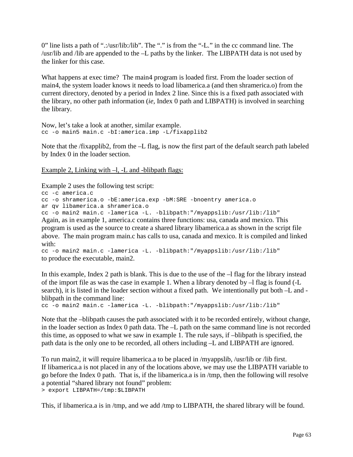0" line lists a path of ".:/usr/lib:/lib". The "." is from the "-L." in the cc command line. The /usr/lib and /lib are appended to the –L paths by the linker. The LIBPATH data is not used by the linker for this case.

What happens at exec time? The main4 program is loaded first. From the loader section of main4, the system loader knows it needs to load libamerica.a (and then shramerica.o) from the current directory, denoted by a period in Index 2 line. Since this is a fixed path associated with the library, no other path information (*ie,* Index 0 path and LIBPATH) is involved in searching the library.

```
Now, let's take a look at another, similar example.
cc -o main5 main.c -bI:america.imp -L/fixapplib2
```
Note that the /fixapplib2, from the –L flag, is now the first part of the default search path labeled by Index 0 in the loader section.

Example 2, Linking with –l, -L and -blibpath flags:

Example 2 uses the following test script:

```
cc -c america.c
cc -o shramerica.o -bE:america.exp -bM:SRE -bnoentry america.o
ar qv libamerica.a shramerica.o
cc -o main2 main.c -lamerica -L. -blibpath:"/myappslib:/usr/lib:/lib"
```
Again, as in example 1, america.c contains three functions: usa, canada and mexico. This program is used as the source to create a shared library libamerica.a as shown in the script file above. The main program main.c has calls to usa, canada and mexico. It is compiled and linked with:

```
cc -o main2 main.c -lamerica -L. -blibpath:"/myappslib:/usr/lib:/lib"
to produce the executable, main2.
```
In this example, Index 2 path is blank. This is due to the use of the  $-1$  flag for the library instead of the import file as was the case in example 1. When a library denoted by –l flag is found (-L search), it is listed in the loader section without a fixed path. We intentionally put both –L and blibpath in the command line:

```
cc -o main2 main.c -lamerica -L. -blibpath:"/myappslib:/usr/lib:/lib"
```
Note that the –blibpath causes the path associated with it to be recorded entirely, without change, in the loader section as Index 0 path data. The –L path on the same command line is not recorded this time, as opposed to what we saw in example 1. The rule says, if –blibpath is specified, the path data is the only one to be recorded, all others including –L and LIBPATH are ignored.

To run main2, it will require libamerica.a to be placed in /myappslib, /usr/lib or /lib first. If libamerica.a is not placed in any of the locations above, we may use the LIBPATH variable to go before the Index 0 path. That is, if the libamerica.a is in /tmp, then the following will resolve a potential "shared library not found" problem:

> export LIBPATH=/tmp:\$LIBPATH

This, if libamerica.a is in /tmp, and we add /tmp to LIBPATH, the shared library will be found.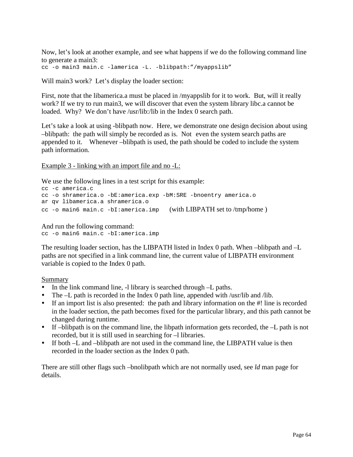Now, let's look at another example, and see what happens if we do the following command line to generate a main3:

cc -o main3 main.c -lamerica -L. -blibpath:"/myappslib"

Will main3 work? Let's display the loader section:

First, note that the libamerica.a must be placed in /myappslib for it to work. But, will it really work? If we try to run main3, we will discover that even the system library libc.a cannot be loaded. Why? We don't have /usr/lib:/lib in the Index 0 search path.

Let's take a look at using -blibpath now. Here*,* we demonstrate one design decision about using –blibpath: the path will simply be recorded as is. Not even the system search paths are appended to it. Whenever –blibpath is used, the path should be coded to include the system path information.

Example 3 - linking with an import file and no -L:

We use the following lines in a test script for this example:

```
cc -c america.c
cc -o shramerica.o -bE:america.exp -bM:SRE -bnoentry america.o
ar qv libamerica.a shramerica.o
cc -o main6 main.c -bI:america.imp (with LIBPATH set to /tmp/home )
```
And run the following command: cc -o main6 main.c -bI:america.imp

The resulting loader section, has the LIBPATH listed in Index 0 path. When –blibpath and –L paths are not specified in a link command line, the current value of LIBPATH environment variable is copied to the Index 0 path.

Summary

- In the link command line, -l library is searched through -L paths.
- ! The –L path is recorded in the Index 0 path line, appended with /usr/lib and /lib.
- If an import list is also presented: the path and library information on the #! line is recorded in the loader section, the path becomes fixed for the particular library, and this path cannot be changed during runtime.
- $\bullet$  If –blibpath is on the command line, the libpath information gets recorded, the –L path is not recorded, but it is still used in searching for  $-1$  libraries.
- If both –L and –blibpath are not used in the command line, the LIBPATH value is then recorded in the loader section as the Index 0 path.

There are still other flags such –bnolibpath which are not normally used, see *ld* man page for details.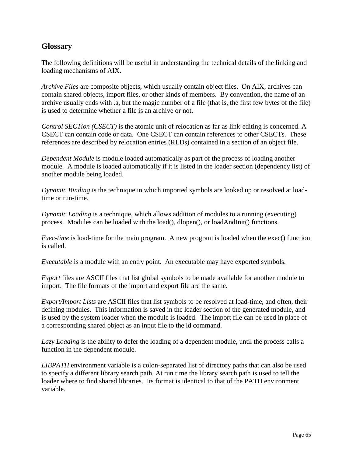## **Glossary**

The following definitions will be useful in understanding the technical details of the linking and loading mechanisms of AIX.

*Archive Files* are composite objects, which usually contain object files. On AIX, archives can contain shared objects, import files, or other kinds of members. By convention, the name of an archive usually ends with .a, but the magic number of a file (that is, the first few bytes of the file) is used to determine whether a file is an archive or not.

*Control SECTion (CSECT)* is the atomic unit of relocation as far as link-editing is concerned. A CSECT can contain code or data. One CSECT can contain references to other CSECTs. These references are described by relocation entries (RLDs) contained in a section of an object file.

*Dependent Module* is module loaded automatically as part of the process of loading another module. A module is loaded automatically if it is listed in the loader section (dependency list) of another module being loaded.

*Dynamic Binding* is the technique in which imported symbols are looked up or resolved at loadtime or run-time.

*Dynamic Loading* is a technique, which allows addition of modules to a running (executing) process. Modules can be loaded with the load(), dlopen(), or loadAndInit() functions.

*Exec-time* is load-time for the main program. A new program is loaded when the exec() function is called.

*Executable* is a module with an entry point. An executable may have exported symbols.

*Export* files are ASCII files that list global symbols to be made available for another module to import. The file formats of the import and export file are the same.

*Export/Import Lists* are ASCII files that list symbols to be resolved at load-time, and often, their defining modules. This information is saved in the loader section of the generated module, and is used by the system loader when the module is loaded. The import file can be used in place of a corresponding shared object as an input file to the ld command.

*Lazy Loading* is the ability to defer the loading of a dependent module, until the process calls a function in the dependent module.

*LIBPATH* environment variable is a colon-separated list of directory paths that can also be used to specify a different library search path. At run time the library search path is used to tell the loader where to find shared libraries. Its format is identical to that of the PATH environment variable.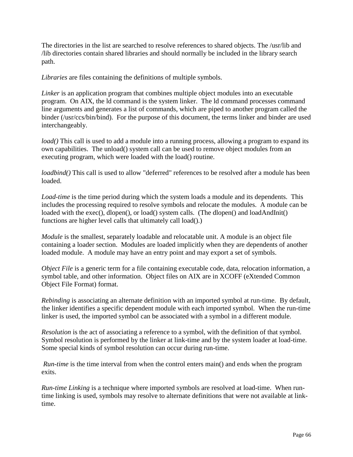The directories in the list are searched to resolve references to shared objects. The /usr/lib and /lib directories contain shared libraries and should normally be included in the library search path.

*Libraries* are files containing the definitions of multiple symbols.

*Linker* is an application program that combines multiple object modules into an executable program. On AIX, the ld command is the system linker. The ld command processes command line arguments and generates a list of commands, which are piped to another program called the binder (/usr/ccs/bin/bind). For the purpose of this document, the terms linker and binder are used interchangeably.

*load*() This call is used to add a module into a running process, allowing a program to expand its own capabilities. The unload() system call can be used to remove object modules from an executing program, which were loaded with the load() routine.

*loadbind*() This call is used to allow "deferred" references to be resolved after a module has been loaded.

*Load-time* is the time period during which the system loads a module and its dependents. This includes the processing required to resolve symbols and relocate the modules. A module can be loaded with the exec(), dlopen(), or load() system calls. (The dlopen() and loadAndInit() functions are higher level calls that ultimately call load().)

*Module* is the smallest, separately loadable and relocatable unit. A module is an object file containing a loader section. Modules are loaded implicitly when they are dependents of another loaded module. A module may have an entry point and may export a set of symbols.

*Object File* is a generic term for a file containing executable code, data, relocation information, a symbol table, and other information. Object files on AIX are in XCOFF (eXtended Common Object File Format) format.

*Rebinding* is associating an alternate definition with an imported symbol at run-time. By default, the linker identifies a specific dependent module with each imported symbol. When the run-time linker is used, the imported symbol can be associated with a symbol in a different module.

*Resolution* is the act of associating a reference to a symbol, with the definition of that symbol. Symbol resolution is performed by the linker at link-time and by the system loader at load-time. Some special kinds of symbol resolution can occur during run-time.

*Run-time* is the time interval from when the control enters main() and ends when the program exits.

*Run-time Linking* is a technique where imported symbols are resolved at load-time. When runtime linking is used, symbols may resolve to alternate definitions that were not available at linktime.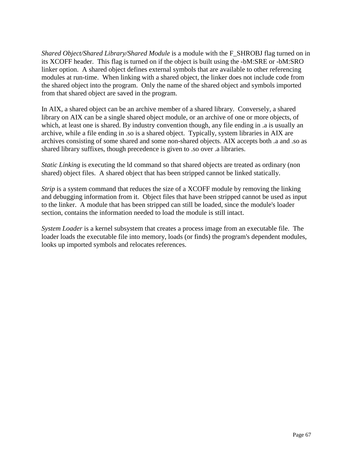*Shared Object/Shared Library/Shared Module* is a module with the F\_SHROBJ flag turned on in its XCOFF header. This flag is turned on if the object is built using the -bM:SRE or -bM:SRO linker option. A shared object defines external symbols that are available to other referencing modules at run-time. When linking with a shared object, the linker does not include code from the shared object into the program. Only the name of the shared object and symbols imported from that shared object are saved in the program.

In AIX, a shared object can be an archive member of a shared library. Conversely, a shared library on AIX can be a single shared object module, or an archive of one or more objects, of which, at least one is shared. By industry convention though, any file ending in .a is usually an archive, while a file ending in .so is a shared object. Typically, system libraries in AIX are archives consisting of some shared and some non-shared objects. AIX accepts both .a and .so as shared library suffixes, though precedence is given to .so over .a libraries.

*Static Linking* is executing the 1d command so that shared objects are treated as ordinary (non shared) object files. A shared object that has been stripped cannot be linked statically.

*Strip* is a system command that reduces the size of a XCOFF module by removing the linking and debugging information from it. Object files that have been stripped cannot be used as input to the linker. A module that has been stripped can still be loaded, since the module's loader section, contains the information needed to load the module is still intact.

*System Loader* is a kernel subsystem that creates a process image from an executable file. The loader loads the executable file into memory, loads (or finds) the program's dependent modules, looks up imported symbols and relocates references.